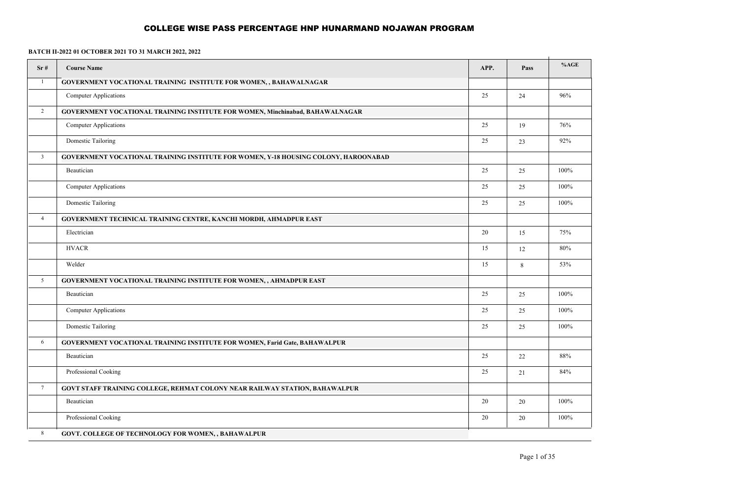| Sr#             | <b>Course Name</b>                                                                  | APP. | Pass   | %AGE    |
|-----------------|-------------------------------------------------------------------------------------|------|--------|---------|
| $\mathbf{1}$    | GOVERNMENT VOCATIONAL TRAINING INSTITUTE FOR WOMEN, , BAHAWALNAGAR                  |      |        |         |
|                 | <b>Computer Applications</b>                                                        | 25   | 24     | 96%     |
| $\overline{2}$  | GOVERNMENT VOCATIONAL TRAINING INSTITUTE FOR WOMEN, Minchinabad, BAHAWALNAGAR       |      |        |         |
|                 | <b>Computer Applications</b>                                                        | 25   | 19     | 76%     |
|                 | Domestic Tailoring                                                                  | 25   | 23     | 92%     |
| $\mathbf{3}$    | GOVERNMENT VOCATIONAL TRAINING INSTITUTE FOR WOMEN, Y-18 HOUSING COLONY, HAROONABAD |      |        |         |
|                 | Beautician                                                                          | 25   | 25     | 100%    |
|                 | <b>Computer Applications</b>                                                        | 25   | 25     | 100%    |
|                 | Domestic Tailoring                                                                  | 25   | 25     | 100%    |
| $\overline{4}$  | GOVERNMENT TECHNICAL TRAINING CENTRE, KANCHI MORDH, AHMADPUR EAST                   |      |        |         |
|                 | Electrician                                                                         | 20   | 15     | 75%     |
|                 | <b>HVACR</b>                                                                        | 15   | 12     | 80%     |
|                 | Welder                                                                              | 15   | 8      | 53%     |
| 5               | GOVERNMENT VOCATIONAL TRAINING INSTITUTE FOR WOMEN, , AHMADPUR EAST                 |      |        |         |
|                 | Beautician                                                                          | 25   | 25     | 100%    |
|                 | <b>Computer Applications</b>                                                        | 25   | 25     | 100%    |
|                 | Domestic Tailoring                                                                  | 25   | 25     | 100%    |
| 6               | GOVERNMENT VOCATIONAL TRAINING INSTITUTE FOR WOMEN, Farid Gate, BAHAWALPUR          |      |        |         |
|                 | Beautician                                                                          | 25   | $22\,$ | 88%     |
|                 | Professional Cooking                                                                | 25   | 21     | 84%     |
| $7\overline{ }$ | GOVT STAFF TRAINING COLLEGE, REHMAT COLONY NEAR RAILWAY STATION, BAHAWALPUR         |      |        |         |
|                 | Beautician                                                                          | 20   | 20     | 100%    |
|                 | Professional Cooking                                                                | 20   | 20     | $100\%$ |
| $\,8\,$         | GOVT. COLLEGE OF TECHNOLOGY FOR WOMEN, , BAHAWALPUR                                 |      |        |         |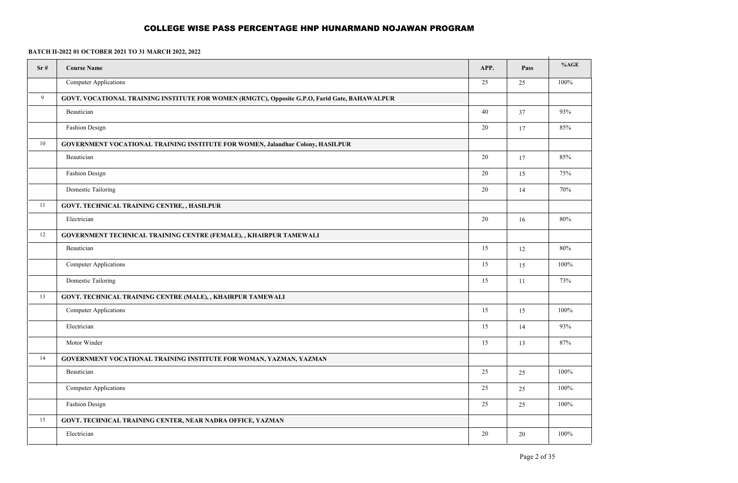| Sr# | <b>Course Name</b>                                                                            | APP. | Pass | %AGE   |
|-----|-----------------------------------------------------------------------------------------------|------|------|--------|
|     | <b>Computer Applications</b>                                                                  | 25   | 25   | 100%   |
| 9   | GOVT. VOCATIONAL TRAINING INSTITUTE FOR WOMEN (RMGTC), Opposite G.P.O, Farid Gate, BAHAWALPUR |      |      |        |
|     | Beautician                                                                                    | 40   | 37   | 93%    |
|     | Fashion Design                                                                                | 20   | 17   | 85%    |
| 10  | GOVERNMENT VOCATIONAL TRAINING INSTITUTE FOR WOMEN, Jalandhar Colony, HASILPUR                |      |      |        |
|     | Beautician                                                                                    | 20   | 17   | 85%    |
|     | Fashion Design                                                                                | 20   | 15   | 75%    |
|     | Domestic Tailoring                                                                            | 20   | 14   | 70%    |
| 11  | GOVT. TECHNICAL TRAINING CENTRE, , HASILPUR                                                   |      |      |        |
|     | Electrician                                                                                   | 20   | 16   | 80%    |
| 12  | GOVERNMENT TECHNICAL TRAINING CENTRE (FEMALE), , KHAIRPUR TAMEWALI                            |      |      |        |
|     | Beautician                                                                                    | 15   | 12   | $80\%$ |
|     | <b>Computer Applications</b>                                                                  | 15   | 15   | 100%   |
|     | Domestic Tailoring                                                                            | 15   | 11   | 73%    |
| 13  | GOVT. TECHNICAL TRAINING CENTRE (MALE), , KHAIRPUR TAMEWALI                                   |      |      |        |
|     | <b>Computer Applications</b>                                                                  | 15   | 15   | 100%   |
|     | Electrician                                                                                   | 15   | 14   | 93%    |
|     | Motor Winder                                                                                  | 15   | 13   | 87%    |
| 14  | GOVERNMENT VOCATIONAL TRAINING INSTITUTE FOR WOMAN, YAZMAN, YAZMAN                            |      |      |        |
|     | Beautician                                                                                    | 25   | 25   | 100%   |
|     | <b>Computer Applications</b>                                                                  | 25   | 25   | 100%   |
|     | <b>Fashion Design</b>                                                                         | 25   | 25   | 100%   |
| 15  | <b>GOVT. TECHNICAL TRAINING CENTER, NEAR NADRA OFFICE, YAZMAN</b>                             |      |      |        |
|     | Electrician                                                                                   | 20   | 20   | 100%   |
|     |                                                                                               |      |      |        |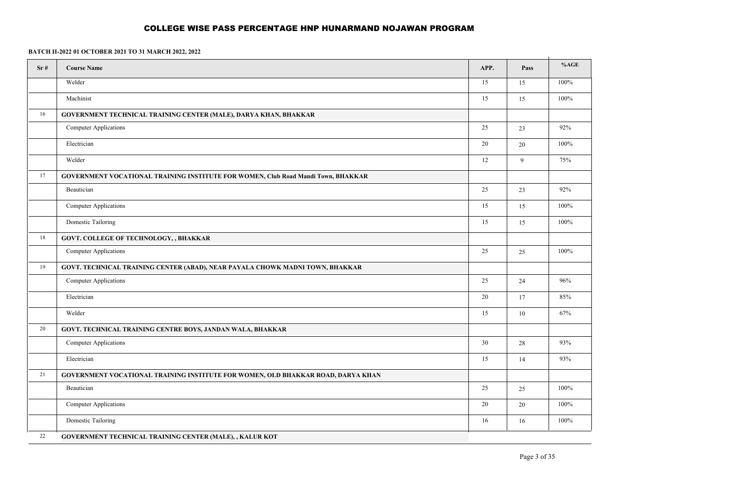| Sr# | <b>Course Name</b>                                                                       | APP.   | Pass | %AGE   |
|-----|------------------------------------------------------------------------------------------|--------|------|--------|
|     | Welder                                                                                   | 15     | 15   | 100%   |
|     | Machinist                                                                                | 15     | 15   | 100%   |
| 16  | GOVERNMENT TECHNICAL TRAINING CENTER (MALE), DARYA KHAN, BHAKKAR                         |        |      |        |
|     | <b>Computer Applications</b>                                                             | 25     | 23   | 92%    |
|     | Electrician                                                                              | 20     | 20   | 100%   |
|     | Welder                                                                                   | 12     | 9    | 75%    |
| 17  | <b>GOVERNMENT VOCATIONAL TRAINING INSTITUTE FOR WOMEN, Club Road Mandi Town, BHAKKAR</b> |        |      |        |
|     | Beautician                                                                               | 25     | 23   | $92\%$ |
|     | <b>Computer Applications</b>                                                             | 15     | 15   | 100%   |
|     | Domestic Tailoring                                                                       | 15     | 15   | 100%   |
| 18  | GOVT. COLLEGE OF TECHNOLOGY, , BHAKKAR                                                   |        |      |        |
|     | <b>Computer Applications</b>                                                             | 25     | 25   | 100%   |
| 19  | GOVT. TECHNICAL TRAINING CENTER (ABAD), NEAR PAYALA CHOWK MADNI TOWN, BHAKKAR            |        |      |        |
|     | Computer Applications                                                                    | 25     | 24   | 96%    |
|     | Electrician                                                                              | $20\,$ | 17   | 85%    |
|     | Welder                                                                                   | 15     | 10   | 67%    |
| 20  | GOVT. TECHNICAL TRAINING CENTRE BOYS, JANDAN WALA, BHAKKAR                               |        |      |        |
|     | <b>Computer Applications</b>                                                             | 30     | 28   | 93%    |
|     | Electrician                                                                              | 15     | 14   | 93%    |
| 21  | GOVERNMENT VOCATIONAL TRAINING INSTITUTE FOR WOMEN, OLD BHAKKAR ROAD, DARYA KHAN         |        |      |        |
|     | Beautician                                                                               | 25     | 25   | 100%   |
|     | <b>Computer Applications</b>                                                             | 20     | 20   | 100%   |
|     | Domestic Tailoring                                                                       | 16     | 16   | 100%   |
| 22  | GOVERNMENT TECHNICAL TRAINING CENTER (MALE), , KALUR KOT                                 |        |      |        |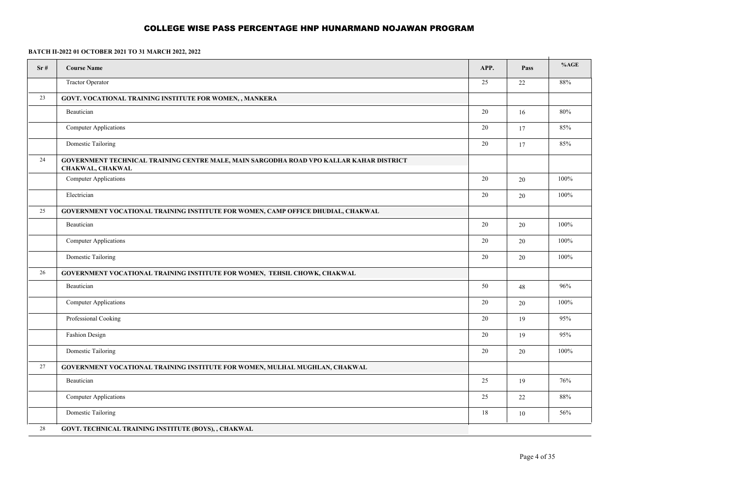| Sr# | <b>Course Name</b>                                                                                          | APP.            | Pass   | %AGE |
|-----|-------------------------------------------------------------------------------------------------------------|-----------------|--------|------|
|     | <b>Tractor Operator</b>                                                                                     | $\overline{25}$ | 22     | 88%  |
| 23  | GOVT. VOCATIONAL TRAINING INSTITUTE FOR WOMEN, , MANKERA                                                    |                 |        |      |
|     | Beautician                                                                                                  | $20\,$          | $16\,$ | 80%  |
|     | <b>Computer Applications</b>                                                                                | 20              | 17     | 85%  |
|     | Domestic Tailoring                                                                                          | 20              | 17     | 85%  |
| 24  | GOVERNMENT TECHNICAL TRAINING CENTRE MALE, MAIN SARGODHA ROAD VPO KALLAR KAHAR DISTRICT<br>CHAKWAL, CHAKWAL |                 |        |      |
|     | <b>Computer Applications</b>                                                                                | $20\,$          | 20     | 100% |
|     | Electrician                                                                                                 | 20              | 20     | 100% |
| 25  | GOVERNMENT VOCATIONAL TRAINING INSTITUTE FOR WOMEN, CAMP OFFICE DHUDIAL, CHAKWAL                            |                 |        |      |
|     | Beautician                                                                                                  | $20\,$          | $20\,$ | 100% |
|     | Computer Applications                                                                                       | 20              | $20\,$ | 100% |
|     | Domestic Tailoring                                                                                          | 20              | 20     | 100% |
| 26  | GOVERNMENT VOCATIONAL TRAINING INSTITUTE FOR WOMEN, TEHSIL CHOWK, CHAKWAL                                   |                 |        |      |
|     | Beautician                                                                                                  | 50              | 48     | 96%  |
|     | <b>Computer Applications</b>                                                                                | $20\,$          | 20     | 100% |
|     | Professional Cooking                                                                                        | 20              | 19     | 95%  |
|     | Fashion Design                                                                                              | 20              | 19     | 95%  |
|     | Domestic Tailoring                                                                                          | 20              | 20     | 100% |
| 27  | GOVERNMENT VOCATIONAL TRAINING INSTITUTE FOR WOMEN, MULHAL MUGHLAN, CHAKWAL                                 |                 |        |      |
|     | Beautician                                                                                                  | 25              | 19     | 76%  |
|     | <b>Computer Applications</b>                                                                                | 25              | 22     | 88%  |
|     | <b>Domestic Tailoring</b>                                                                                   | 18              | $10\,$ | 56%  |
| 28  | GOVT. TECHNICAL TRAINING INSTITUTE (BOYS), , CHAKWAL                                                        |                 |        |      |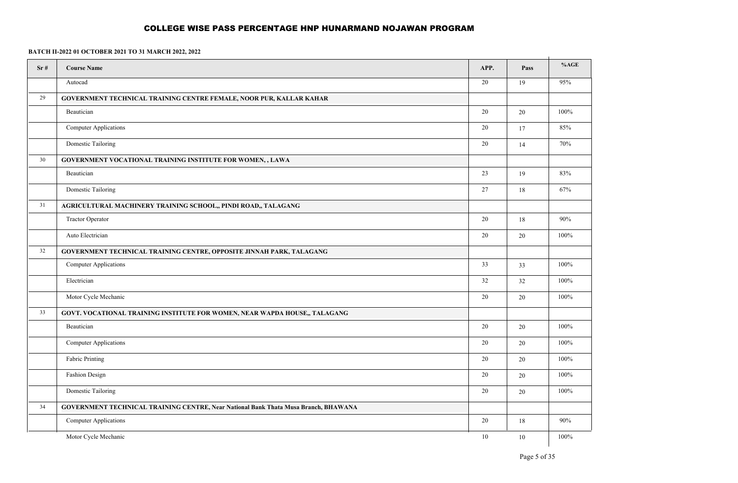| Sr# | <b>Course Name</b>                                                                  | APP. | Pass   | %AGE    |
|-----|-------------------------------------------------------------------------------------|------|--------|---------|
|     | Autocad                                                                             | 20   | 19     | 95%     |
| 29  | GOVERNMENT TECHNICAL TRAINING CENTRE FEMALE, NOOR PUR, KALLAR KAHAR                 |      |        |         |
|     | Beautician                                                                          | 20   | 20     | 100%    |
|     | Computer Applications                                                               | 20   | 17     | 85%     |
|     | Domestic Tailoring                                                                  | 20   | 14     | 70%     |
| 30  | GOVERNMENT VOCATIONAL TRAINING INSTITUTE FOR WOMEN, , LAWA                          |      |        |         |
|     | Beautician                                                                          | 23   | 19     | 83%     |
|     | Domestic Tailoring                                                                  | 27   | 18     | 67%     |
| 31  | AGRICULTURAL MACHINERY TRAINING SCHOOL,, PINDI ROAD,, TALAGANG                      |      |        |         |
|     | <b>Tractor Operator</b>                                                             | 20   | 18     | 90%     |
|     | Auto Electrician                                                                    | 20   | $20\,$ | $100\%$ |
| 32  | GOVERNMENT TECHNICAL TRAINING CENTRE, OPPOSITE JINNAH PARK, TALAGANG                |      |        |         |
|     | <b>Computer Applications</b>                                                        | 33   | 33     | 100%    |
|     | Electrician                                                                         | 32   | $32\,$ | $100\%$ |
|     | Motor Cycle Mechanic                                                                | 20   | $20\,$ | 100%    |
| 33  | GOVT. VOCATIONAL TRAINING INSTITUTE FOR WOMEN, NEAR WAPDA HOUSE,, TALAGANG          |      |        |         |
|     | Beautician                                                                          | 20   | $20\,$ | 100%    |
|     | <b>Computer Applications</b>                                                        | 20   | 20     | 100%    |
|     | Fabric Printing                                                                     | 20   | 20     | 100%    |
|     | Fashion Design                                                                      | 20   | 20     | 100%    |
|     | Domestic Tailoring                                                                  | 20   | $20\,$ | 100%    |
| 34  | GOVERNMENT TECHNICAL TRAINING CENTRE, Near National Bank Thata Musa Branch, BHAWANA |      |        |         |
|     | <b>Computer Applications</b>                                                        | 20   | $18\,$ | 90%     |
|     | Motor Cycle Mechanic                                                                | 10   | 10     | 100%    |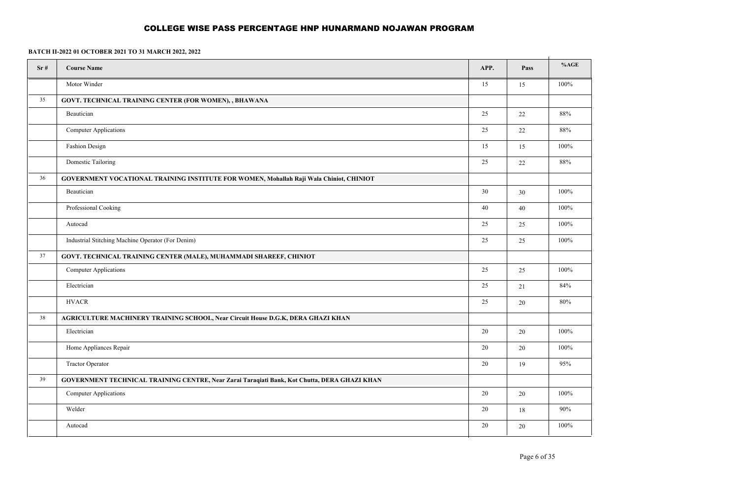| Sr# | <b>Course Name</b>                                                                           | APP.   | Pass   | %AGE   |
|-----|----------------------------------------------------------------------------------------------|--------|--------|--------|
|     | Motor Winder                                                                                 | 15     | 15     | 100%   |
| 35  | GOVT. TECHNICAL TRAINING CENTER (FOR WOMEN), , BHAWANA                                       |        |        |        |
|     | Beautician                                                                                   | 25     | 22     | 88%    |
|     | <b>Computer Applications</b>                                                                 | 25     | $22\,$ | 88%    |
|     | Fashion Design                                                                               | 15     | 15     | 100%   |
|     | Domestic Tailoring                                                                           | 25     | $22\,$ | $88\%$ |
| 36  | GOVERNMENT VOCATIONAL TRAINING INSTITUTE FOR WOMEN, Mohallah Raji Wala Chiniot, CHINIOT      |        |        |        |
|     | Beautician                                                                                   | 30     | 30     | 100%   |
|     | Professional Cooking                                                                         | 40     | $40\,$ | 100%   |
|     | Autocad                                                                                      | 25     | 25     | 100%   |
|     | Industrial Stitching Machine Operator (For Denim)                                            | 25     | 25     | 100%   |
| 37  | GOVT. TECHNICAL TRAINING CENTER (MALE), MUHAMMADI SHAREEF, CHINIOT                           |        |        |        |
|     | Computer Applications                                                                        | 25     | 25     | 100%   |
|     | Electrician                                                                                  | 25     | 21     | 84%    |
|     | $\mbox{HVACR}$                                                                               | $25\,$ | $20\,$ | 80%    |
| 38  | AGRICULTURE MACHINERY TRAINING SCHOOL, Near Circuit House D.G.K, DERA GHAZI KHAN             |        |        |        |
|     | Electrician                                                                                  | $20\,$ | 20     | 100%   |
|     | Home Appliances Repair                                                                       | 20     | 20     | 100%   |
|     | <b>Tractor Operator</b>                                                                      | $20\,$ | 19     | 95%    |
| 39  | GOVERNMENT TECHNICAL TRAINING CENTRE, Near Zarai Taraqiati Bank, Kot Chutta, DERA GHAZI KHAN |        |        |        |
|     | <b>Computer Applications</b>                                                                 | 20     | 20     | 100%   |
|     | Welder                                                                                       | 20     | $18\,$ | 90%    |
|     | Autocad                                                                                      | 20     | 20     | 100%   |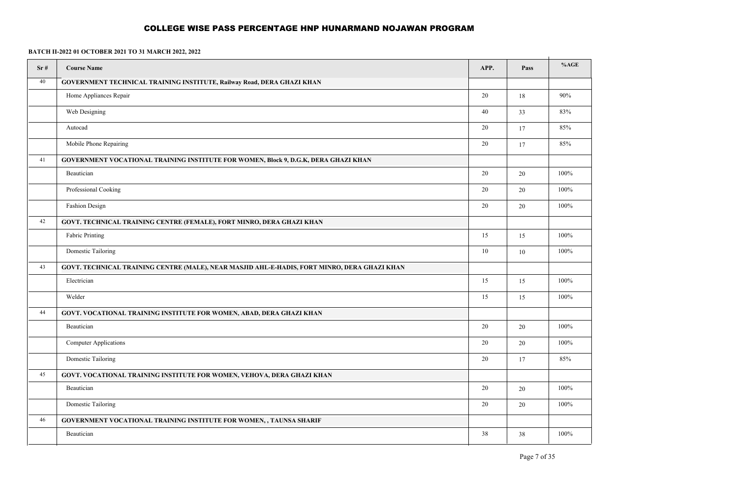| Sr# | <b>Course Name</b>                                                                           | APP.   | Pass   | %AGE   |
|-----|----------------------------------------------------------------------------------------------|--------|--------|--------|
| 40  | GOVERNMENT TECHNICAL TRAINING INSTITUTE, Railway Road, DERA GHAZI KHAN                       |        |        |        |
|     | Home Appliances Repair                                                                       | 20     | $18\,$ | 90%    |
|     | Web Designing                                                                                | 40     | 33     | 83%    |
|     | Autocad                                                                                      | $20\,$ | 17     | 85%    |
|     | Mobile Phone Repairing                                                                       | $20\,$ | 17     | $85\%$ |
| 41  | <b>GOVERNMENT VOCATIONAL TRAINING INSTITUTE FOR WOMEN, Block 9, D.G.K, DERA GHAZI KHAN</b>   |        |        |        |
|     | Beautician                                                                                   | 20     | 20     | 100%   |
|     | Professional Cooking                                                                         | 20     | 20     | 100%   |
|     | Fashion Design                                                                               | $20\,$ | $20\,$ | 100%   |
| 42  | GOVT. TECHNICAL TRAINING CENTRE (FEMALE), FORT MINRO, DERA GHAZI KHAN                        |        |        |        |
|     | Fabric Printing                                                                              | 15     | 15     | 100%   |
|     | Domestic Tailoring                                                                           | $10\,$ | $10\,$ | 100%   |
| 43  | GOVT. TECHNICAL TRAINING CENTRE (MALE), NEAR MASJID AHL-E-HADIS, FORT MINRO, DERA GHAZI KHAN |        |        |        |
|     | Electrician                                                                                  | 15     | 15     | 100%   |
|     | Welder                                                                                       | 15     | 15     | 100%   |
| 44  | GOVT. VOCATIONAL TRAINING INSTITUTE FOR WOMEN, ABAD, DERA GHAZI KHAN                         |        |        |        |
|     | Beautician                                                                                   | 20     | 20     | 100%   |
|     | <b>Computer Applications</b>                                                                 | 20     | 20     | 100%   |
|     | Domestic Tailoring                                                                           | $20\,$ | 17     | 85%    |
| 45  | GOVT. VOCATIONAL TRAINING INSTITUTE FOR WOMEN, VEHOVA, DERA GHAZI KHAN                       |        |        |        |
|     | Beautician                                                                                   | 20     | $20\,$ | 100%   |
|     | Domestic Tailoring                                                                           | 20     | 20     | 100%   |
| 46  | GOVERNMENT VOCATIONAL TRAINING INSTITUTE FOR WOMEN, , TAUNSA SHARIF                          |        |        |        |
|     | Beautician                                                                                   | 38     | 38     | 100%   |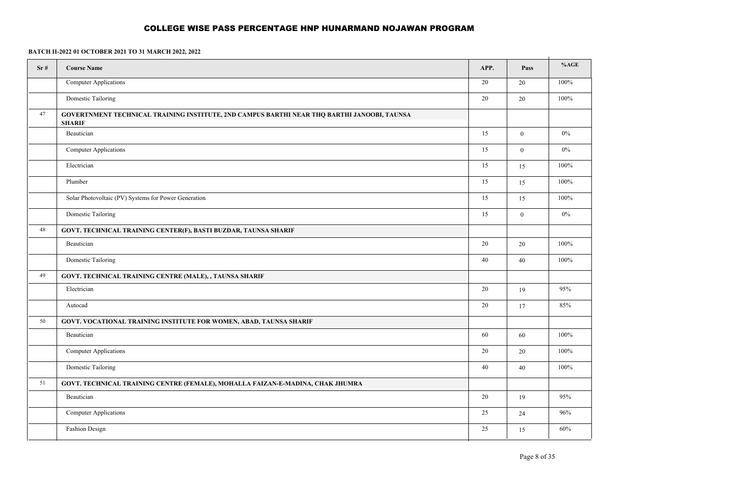| Sr# | <b>Course Name</b>                                                                                           | APP. | Pass             | %AGE  |  |  |
|-----|--------------------------------------------------------------------------------------------------------------|------|------------------|-------|--|--|
|     | <b>Computer Applications</b>                                                                                 | 20   | 20               | 100%  |  |  |
|     | Domestic Tailoring                                                                                           | 20   | 20               | 100%  |  |  |
| 47  | GOVERTNMENT TECHNICAL TRAINING INSTITUTE, 2ND CAMPUS BARTHI NEAR THQ BARTHI JANOOBI, TAUNSA<br><b>SHARIF</b> |      |                  |       |  |  |
|     | Beautician                                                                                                   | 15   | $\mathbf{0}$     | $0\%$ |  |  |
|     | Computer Applications                                                                                        | 15   | $\boldsymbol{0}$ | $0\%$ |  |  |
|     | Electrician                                                                                                  | 15   | 15               | 100%  |  |  |
|     | Plumber                                                                                                      | 15   | 15               | 100%  |  |  |
|     | Solar Photovoltaic (PV) Systems for Power Generation                                                         | 15   | 15               | 100%  |  |  |
|     | Domestic Tailoring                                                                                           | 15   | $\mathbf{0}$     | $0\%$ |  |  |
| 48  | GOVT. TECHNICAL TRAINING CENTER(F), BASTI BUZDAR, TAUNSA SHARIF                                              |      |                  |       |  |  |
|     | Beautician                                                                                                   | 20   | 20               | 100%  |  |  |
|     | Domestic Tailoring                                                                                           | 40   | 40               | 100%  |  |  |
| 49  | GOVT. TECHNICAL TRAINING CENTRE (MALE), , TAUNSA SHARIF                                                      |      |                  |       |  |  |
|     | Electrician                                                                                                  | 20   | 19               | 95%   |  |  |
|     | Autocad                                                                                                      | 20   | 17               | 85%   |  |  |
| 50  | <b>GOVT. VOCATIONAL TRAINING INSTITUTE FOR WOMEN, ABAD, TAUNSA SHARIF</b>                                    |      |                  |       |  |  |
|     | Beautician                                                                                                   | 60   | 60               | 100%  |  |  |
|     | <b>Computer Applications</b>                                                                                 | 20   | 20               | 100%  |  |  |
|     | Domestic Tailoring                                                                                           | 40   | 40               | 100%  |  |  |
| 51  | GOVT. TECHNICAL TRAINING CENTRE (FEMALE), MOHALLA FAIZAN-E-MADINA, CHAK JHUMRA                               |      |                  |       |  |  |
|     | Beautician                                                                                                   | 20   | 19               | 95%   |  |  |
|     | <b>Computer Applications</b>                                                                                 | 25   | 24               | 96%   |  |  |
|     | Fashion Design                                                                                               | 25   | 15               | 60%   |  |  |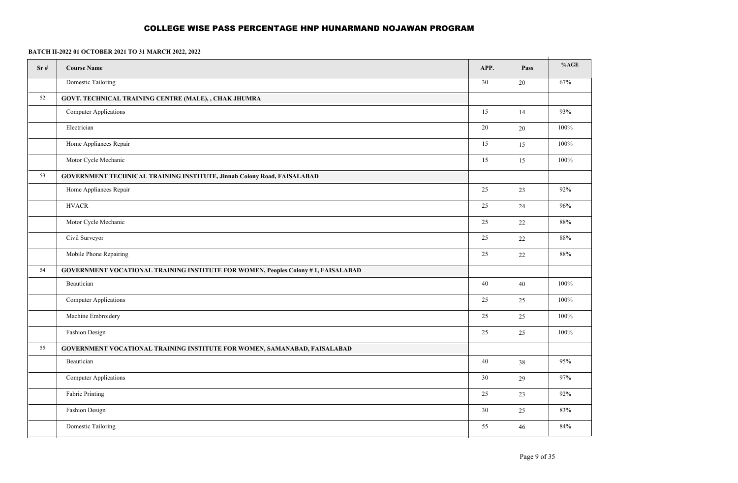| Sr# | <b>Course Name</b>                                                                       | APP. | Pass   | %AGE    |
|-----|------------------------------------------------------------------------------------------|------|--------|---------|
|     | Domestic Tailoring                                                                       | 30   | 20     | 67%     |
| 52  | GOVT. TECHNICAL TRAINING CENTRE (MALE), , CHAK JHUMRA                                    |      |        |         |
|     | <b>Computer Applications</b>                                                             | 15   | 14     | 93%     |
|     | Electrician                                                                              | 20   | $20\,$ | $100\%$ |
|     | Home Appliances Repair                                                                   | 15   | 15     | 100%    |
|     | Motor Cycle Mechanic                                                                     | 15   | 15     | $100\%$ |
| 53  | GOVERNMENT TECHNICAL TRAINING INSTITUTE, Jinnah Colony Road, FAISALABAD                  |      |        |         |
|     | Home Appliances Repair                                                                   | 25   | 23     | 92%     |
|     | <b>HVACR</b>                                                                             | 25   | 24     | 96%     |
|     | Motor Cycle Mechanic                                                                     | 25   | $22\,$ | 88%     |
|     | Civil Surveyor                                                                           | 25   | $22\,$ | 88%     |
|     | Mobile Phone Repairing                                                                   | 25   | $22\,$ | 88%     |
| 54  | <b>GOVERNMENT VOCATIONAL TRAINING INSTITUTE FOR WOMEN, Peoples Colony #1, FAISALABAD</b> |      |        |         |
|     | Beautician                                                                               | 40   | $40\,$ | 100%    |
|     | <b>Computer Applications</b>                                                             | 25   | 25     | 100%    |
|     | Machine Embroidery                                                                       | 25   | $25\,$ | $100\%$ |
|     | Fashion Design                                                                           | 25   | 25     | 100%    |
| 55  | GOVERNMENT VOCATIONAL TRAINING INSTITUTE FOR WOMEN, SAMANABAD, FAISALABAD                |      |        |         |
|     | Beautician                                                                               | 40   | 38     | 95%     |
|     | <b>Computer Applications</b>                                                             | 30   | 29     | 97%     |
|     | Fabric Printing                                                                          | 25   | 23     | 92%     |
|     | Fashion Design                                                                           | 30   | 25     | 83%     |
|     | Domestic Tailoring                                                                       | 55   | $46\,$ | 84%     |
|     |                                                                                          |      |        |         |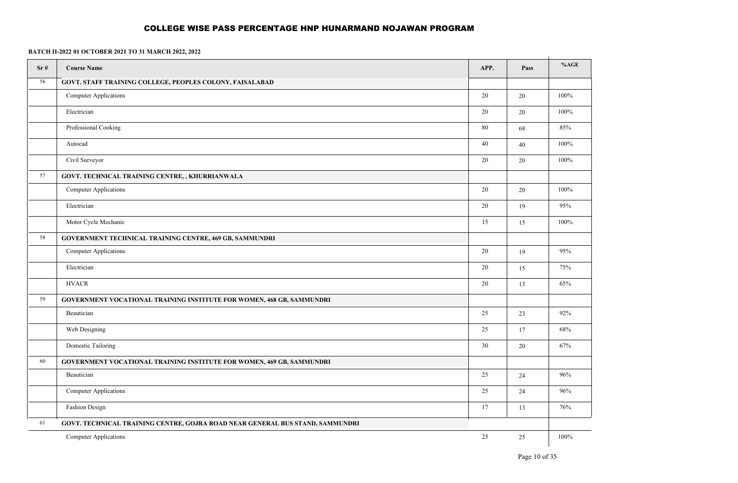| Sr# | <b>Course Name</b>                                                            | APP.   | Pass   | %AGE    |
|-----|-------------------------------------------------------------------------------|--------|--------|---------|
| 56  | GOVT. STAFF TRAINING COLLEGE, PEOPLES COLONY, FAISALABAD                      |        |        |         |
|     | Computer Applications                                                         | $20\,$ | 20     | 100%    |
|     | Electrician                                                                   | 20     | 20     | 100%    |
|     | Professional Cooking                                                          | 80     | 68     | 85%     |
|     | Autocad                                                                       | 40     | 40     | 100%    |
|     | Civil Surveyor                                                                | 20     | $20\,$ | 100%    |
| 57  | GOVT. TECHNICAL TRAINING CENTRE, , KHURRIANWALA                               |        |        |         |
|     | Computer Applications                                                         | 20     | $20\,$ | 100%    |
|     | Electrician                                                                   | 20     | 19     | 95%     |
|     | Motor Cycle Mechanic                                                          | 15     | 15     | $100\%$ |
| 58  | <b>GOVERNMENT TECHNICAL TRAINING CENTRE, 469 GB, SAMMUNDRI</b>                |        |        |         |
|     | Computer Applications                                                         | 20     | 19     | 95%     |
|     | Electrician                                                                   | 20     | 15     | 75%     |
|     | <b>HVACR</b>                                                                  | 20     | 13     | 65%     |
| 59  | <b>GOVERNMENT VOCATIONAL TRAINING INSTITUTE FOR WOMEN, 468 GB, SAMMUNDRI</b>  |        |        |         |
|     | Beautician                                                                    | 25     | 23     | 92%     |
|     | Web Designing                                                                 | 25     | 17     | 68%     |
|     | Domestic Tailoring                                                            | 30     | 20     | 67%     |
| 60  | GOVERNMENT VOCATIONAL TRAINING INSTITUTE FOR WOMEN, 469 GB, SAMMUNDRI         |        |        |         |
|     | Beautician                                                                    | 25     | 24     | 96%     |
|     | <b>Computer Applications</b>                                                  | 25     | 24     | 96%     |
|     | Fashion Design                                                                | 17     | 13     | 76%     |
| 61  | GOVT. TECHNICAL TRAINING CENTRE, GOJRA ROAD NEAR GENERAL BUS STAND, SAMMUNDRI |        |        |         |
|     | Computer Applications                                                         | 25     | $25\,$ | $100\%$ |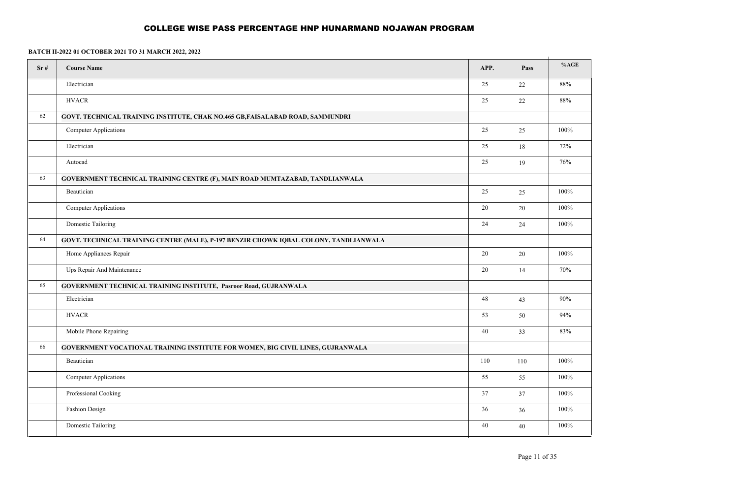| Sr# | <b>Course Name</b>                                                                    | APP.   | Pass   | %AGE |  |
|-----|---------------------------------------------------------------------------------------|--------|--------|------|--|
|     | Electrician                                                                           | 25     | 22     | 88%  |  |
|     | <b>HVACR</b>                                                                          | 25     | $22\,$ | 88%  |  |
| 62  | GOVT. TECHNICAL TRAINING INSTITUTE, CHAK NO.465 GB, FAISALABAD ROAD, SAMMUNDRI        |        |        |      |  |
|     | <b>Computer Applications</b>                                                          | 25     | 25     | 100% |  |
|     | Electrician                                                                           | 25     | 18     | 72%  |  |
|     | Autocad                                                                               | 25     | 19     | 76%  |  |
| 63  | GOVERNMENT TECHNICAL TRAINING CENTRE (F), MAIN ROAD MUMTAZABAD, TANDLIANWALA          |        |        |      |  |
|     | Beautician                                                                            | 25     | 25     | 100% |  |
|     | <b>Computer Applications</b>                                                          | 20     | 20     | 100% |  |
|     | Domestic Tailoring                                                                    | 24     | 24     | 100% |  |
| 64  | GOVT. TECHNICAL TRAINING CENTRE (MALE), P-197 BENZIR CHOWK IQBAL COLONY, TANDLIANWALA |        |        |      |  |
|     | Home Appliances Repair                                                                | $20\,$ | 20     | 100% |  |
|     | Ups Repair And Maintenance                                                            | 20     | 14     | 70%  |  |
| 65  | GOVERNMENT TECHNICAL TRAINING INSTITUTE, Pasroor Road, GUJRANWALA                     |        |        |      |  |
|     | Electrician                                                                           | 48     | 43     | 90%  |  |
|     | <b>HVACR</b>                                                                          | 53     | 50     | 94%  |  |
|     | Mobile Phone Repairing                                                                | $40\,$ | 33     | 83%  |  |
| 66  | GOVERNMENT VOCATIONAL TRAINING INSTITUTE FOR WOMEN, BIG CIVIL LINES, GUJRANWALA       |        |        |      |  |
|     | Beautician                                                                            | 110    | 110    | 100% |  |
|     | <b>Computer Applications</b>                                                          | 55     | 55     | 100% |  |
|     | Professional Cooking                                                                  | 37     | 37     | 100% |  |
|     | Fashion Design                                                                        | 36     | 36     | 100% |  |
|     | Domestic Tailoring                                                                    | 40     | 40     | 100% |  |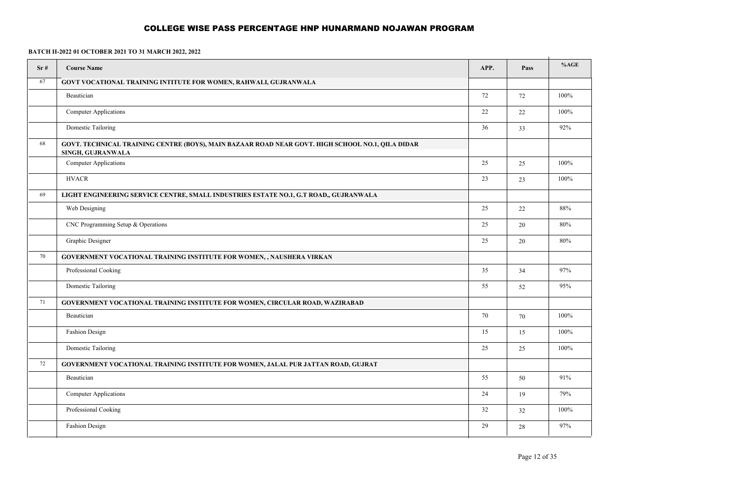| Sr# | <b>Course Name</b>                                                                                                    | APP.   | Pass | %AGE |
|-----|-----------------------------------------------------------------------------------------------------------------------|--------|------|------|
| 67  | GOVT VOCATIONAL TRAINING INTITUTE FOR WOMEN, RAHWALI, GUJRANWALA                                                      |        |      |      |
|     | Beautician                                                                                                            | 72     | 72   | 100% |
|     | <b>Computer Applications</b>                                                                                          | $22\,$ | 22   | 100% |
|     | Domestic Tailoring                                                                                                    | 36     | 33   | 92%  |
| 68  | GOVT. TECHNICAL TRAINING CENTRE (BOYS), MAIN BAZAAR ROAD NEAR GOVT. HIGH SCHOOL NO.1, QILA DIDAR<br>SINGH, GUJRANWALA |        |      |      |
|     | Computer Applications                                                                                                 | 25     | 25   | 100% |
|     | <b>HVACR</b>                                                                                                          | 23     | 23   | 100% |
| 69  | LIGHT ENGINEERING SERVICE CENTRE, SMALL INDUSTRIES ESTATE NO.1, G.T ROAD,, GUJRANWALA                                 |        |      |      |
|     | Web Designing                                                                                                         | 25     | 22   | 88%  |
|     | CNC Programming Setup & Operations                                                                                    | 25     | 20   | 80%  |
|     | Graphic Designer                                                                                                      | 25     | 20   | 80%  |
| 70  | GOVERNMENT VOCATIONAL TRAINING INSTITUTE FOR WOMEN, , NAUSHERA VIRKAN                                                 |        |      |      |
|     | Professional Cooking                                                                                                  | 35     | 34   | 97%  |
|     | Domestic Tailoring                                                                                                    | 55     | 52   | 95%  |
| 71  | GOVERNMENT VOCATIONAL TRAINING INSTITUTE FOR WOMEN, CIRCULAR ROAD, WAZIRABAD                                          |        |      |      |
|     | Beautician                                                                                                            | 70     | 70   | 100% |
|     | Fashion Design                                                                                                        | 15     | 15   | 100% |
|     | Domestic Tailoring                                                                                                    | 25     | 25   | 100% |
| 72  | GOVERNMENT VOCATIONAL TRAINING INSTITUTE FOR WOMEN, JALAL PUR JATTAN ROAD, GUJRAT                                     |        |      |      |
|     | Beautician                                                                                                            | 55     | 50   | 91%  |
|     | <b>Computer Applications</b>                                                                                          | 24     | 19   | 79%  |
|     | Professional Cooking                                                                                                  | 32     | 32   | 100% |
|     | Fashion Design                                                                                                        | 29     | 28   | 97%  |
|     |                                                                                                                       |        |      |      |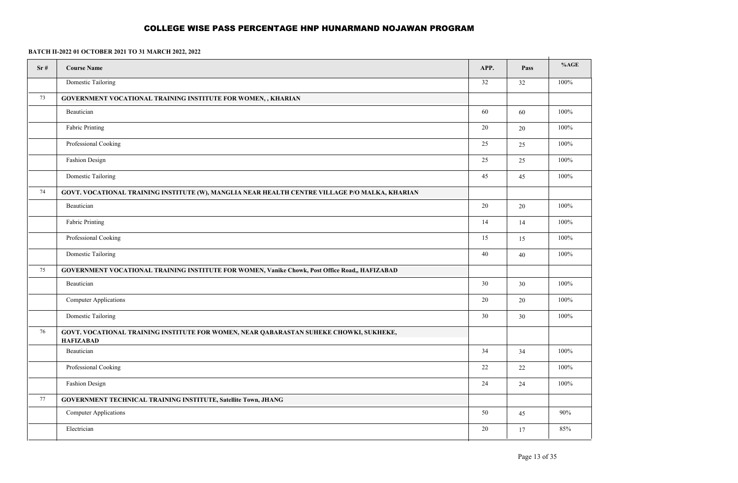| Sr# | <b>Course Name</b>                                                                                         | APP. | Pass   | %AGE    |
|-----|------------------------------------------------------------------------------------------------------------|------|--------|---------|
|     | Domestic Tailoring                                                                                         | 32   | 32     | 100%    |
| 73  | GOVERNMENT VOCATIONAL TRAINING INSTITUTE FOR WOMEN,, KHARIAN                                               |      |        |         |
|     | Beautician                                                                                                 | 60   | 60     | 100%    |
|     | Fabric Printing                                                                                            | 20   | $20\,$ | $100\%$ |
|     | Professional Cooking                                                                                       | 25   | 25     | 100%    |
|     | Fashion Design                                                                                             | 25   | 25     | 100%    |
|     | Domestic Tailoring                                                                                         | 45   | 45     | 100%    |
| 74  | GOVT. VOCATIONAL TRAINING INSTITUTE (W), MANGLIA NEAR HEALTH CENTRE VILLAGE P/O MALKA, KHARIAN             |      |        |         |
|     | Beautician                                                                                                 | 20   | $20\,$ | 100%    |
|     | Fabric Printing                                                                                            | 14   | 14     | $100\%$ |
|     | Professional Cooking                                                                                       | 15   | 15     | 100%    |
|     | Domestic Tailoring                                                                                         | 40   | $40\,$ | 100%    |
| 75  | GOVERNMENT VOCATIONAL TRAINING INSTITUTE FOR WOMEN, Vanike Chowk, Post Office Road,, HAFIZABAD             |      |        |         |
|     | Beautician                                                                                                 | 30   | $30\,$ | 100%    |
|     | <b>Computer Applications</b>                                                                               | 20   | 20     | 100%    |
|     | Domestic Tailoring                                                                                         | 30   | 30     | $100\%$ |
| 76  | GOVT. VOCATIONAL TRAINING INSTITUTE FOR WOMEN, NEAR QABARASTAN SUHEKE CHOWKI, SUKHEKE,<br><b>HAFIZABAD</b> |      |        |         |
|     | Beautician                                                                                                 | 34   | 34     | 100%    |
|     | Professional Cooking                                                                                       | 22   | $22\,$ | 100%    |
|     | Fashion Design                                                                                             | 24   | 24     | 100%    |
| 77  | GOVERNMENT TECHNICAL TRAINING INSTITUTE, Satellite Town, JHANG                                             |      |        |         |
|     | <b>Computer Applications</b>                                                                               | 50   | 45     | 90%     |
|     | Electrician                                                                                                | 20   | 17     | 85%     |
|     |                                                                                                            |      |        |         |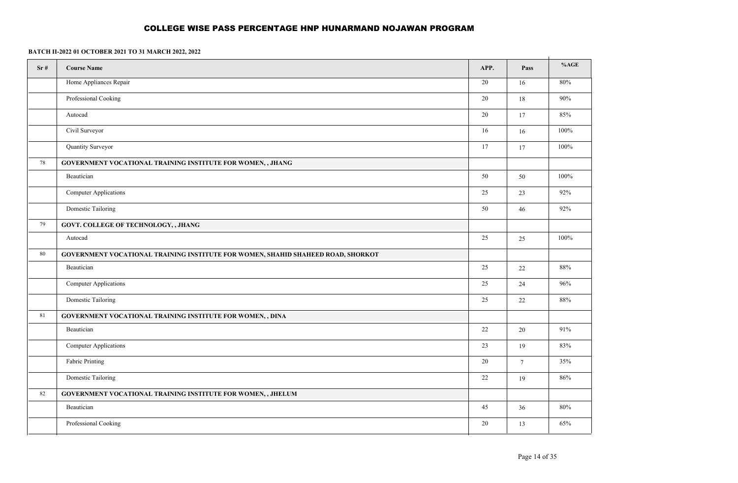| Sr# | <b>Course Name</b>                                                               | APP. | Pass   | %AGE    |
|-----|----------------------------------------------------------------------------------|------|--------|---------|
|     | Home Appliances Repair                                                           | 20   | 16     | 80%     |
|     | Professional Cooking                                                             | 20   | 18     | $90\%$  |
|     | Autocad                                                                          | 20   | 17     | 85%     |
|     | Civil Surveyor                                                                   | 16   | 16     | 100%    |
|     | Quantity Surveyor                                                                | 17   | 17     | $100\%$ |
| 78  | GOVERNMENT VOCATIONAL TRAINING INSTITUTE FOR WOMEN, , JHANG                      |      |        |         |
|     | Beautician                                                                       | 50   | 50     | 100%    |
|     | <b>Computer Applications</b>                                                     | 25   | 23     | 92%     |
|     | Domestic Tailoring                                                               | 50   | 46     | 92%     |
| 79  | GOVT. COLLEGE OF TECHNOLOGY, , JHANG                                             |      |        |         |
|     | Autocad                                                                          | 25   | 25     | 100%    |
| 80  | GOVERNMENT VOCATIONAL TRAINING INSTITUTE FOR WOMEN, SHAHID SHAHEED ROAD, SHORKOT |      |        |         |
|     | Beautician                                                                       | 25   | $22\,$ | $88\%$  |
|     | <b>Computer Applications</b>                                                     | 25   | 24     | 96%     |
|     | Domestic Tailoring                                                               | 25   | 22     | 88%     |
| 81  | GOVERNMENT VOCATIONAL TRAINING INSTITUTE FOR WOMEN, , DINA                       |      |        |         |
|     | Beautician                                                                       | 22   | $20\,$ | 91%     |
|     | Computer Applications                                                            | 23   | 19     | 83%     |
|     | Fabric Printing                                                                  | 20   | $\tau$ | 35%     |
|     | Domestic Tailoring                                                               | 22   | 19     | 86%     |
| 82  | GOVERNMENT VOCATIONAL TRAINING INSTITUTE FOR WOMEN,, JHELUM                      |      |        |         |
|     | Beautician                                                                       | 45   | 36     | 80%     |
|     | Professional Cooking                                                             | 20   | 13     | 65%     |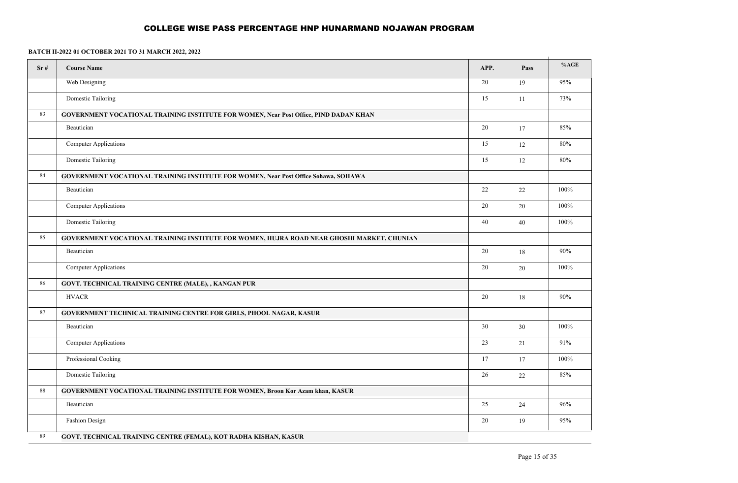| Sr# | <b>Course Name</b>                                                                           | APP.   | Pass | %AGE   |
|-----|----------------------------------------------------------------------------------------------|--------|------|--------|
|     | Web Designing                                                                                | 20     | 19   | 95%    |
|     | Domestic Tailoring                                                                           | 15     | 11   | 73%    |
| 83  | <b>GOVERNMENT VOCATIONAL TRAINING INSTITUTE FOR WOMEN, Near Post Office, PIND DADAN KHAN</b> |        |      |        |
|     | Beautician                                                                                   | 20     | 17   | 85%    |
|     | <b>Computer Applications</b>                                                                 | 15     | 12   | $80\%$ |
|     | Domestic Tailoring                                                                           | 15     | 12   | 80%    |
| 84  | <b>GOVERNMENT VOCATIONAL TRAINING INSTITUTE FOR WOMEN, Near Post Office Sohawa, SOHAWA</b>   |        |      |        |
|     | Beautician                                                                                   | 22     | 22   | 100%   |
|     | <b>Computer Applications</b>                                                                 | 20     | 20   | 100%   |
|     | Domestic Tailoring                                                                           | 40     | 40   | 100%   |
| 85  | GOVERNMENT VOCATIONAL TRAINING INSTITUTE FOR WOMEN, HUJRA ROAD NEAR GHOSHI MARKET, CHUNIAN   |        |      |        |
|     | Beautician                                                                                   | 20     | 18   | 90%    |
|     | <b>Computer Applications</b>                                                                 | 20     | 20   | 100%   |
| 86  | GOVT. TECHNICAL TRAINING CENTRE (MALE), , KANGAN PUR                                         |        |      |        |
|     | <b>HVACR</b>                                                                                 | 20     | 18   | 90%    |
| 87  | <b>GOVERNMENT TECHNICAL TRAINING CENTRE FOR GIRLS, PHOOL NAGAR, KASUR</b>                    |        |      |        |
|     | Beautician                                                                                   | 30     | 30   | 100%   |
|     | <b>Computer Applications</b>                                                                 | 23     | 21   | $91\%$ |
|     | Professional Cooking                                                                         | 17     | 17   | 100%   |
|     | Domestic Tailoring                                                                           | $26\,$ | 22   | 85%    |
| 88  | <b>GOVERNMENT VOCATIONAL TRAINING INSTITUTE FOR WOMEN, Broon Kor Azam khan, KASUR</b>        |        |      |        |
|     | Beautician                                                                                   | 25     | 24   | 96%    |
|     | <b>Fashion Design</b>                                                                        | 20     | 19   | 95%    |
| 89  | GOVT. TECHNICAL TRAINING CENTRE (FEMAL), KOT RADHA KISHAN, KASUR                             |        |      |        |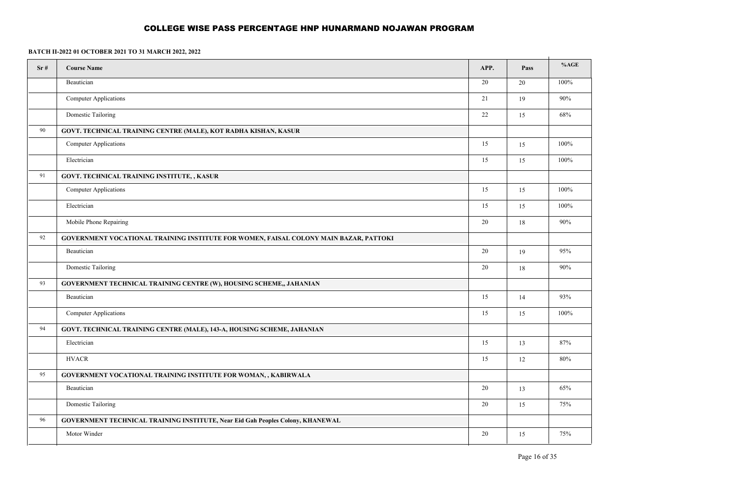| Sr# | <b>Course Name</b>                                                                    | APP. | Pass | %AGE    |
|-----|---------------------------------------------------------------------------------------|------|------|---------|
|     | Beautician                                                                            | 20   | 20   | 100%    |
|     | <b>Computer Applications</b>                                                          | 21   | 19   | $90\%$  |
|     | <b>Domestic Tailoring</b>                                                             | 22   | 15   | 68%     |
| 90  | GOVT. TECHNICAL TRAINING CENTRE (MALE), KOT RADHA KISHAN, KASUR                       |      |      |         |
|     | <b>Computer Applications</b>                                                          | 15   | 15   | 100%    |
|     | Electrician                                                                           | 15   | 15   | $100\%$ |
| 91  | GOVT. TECHNICAL TRAINING INSTITUTE, , KASUR                                           |      |      |         |
|     | <b>Computer Applications</b>                                                          | 15   | 15   | 100%    |
|     | Electrician                                                                           | 15   | 15   | 100%    |
|     | Mobile Phone Repairing                                                                | 20   | 18   | 90%     |
| 92  | GOVERNMENT VOCATIONAL TRAINING INSTITUTE FOR WOMEN, FAISAL COLONY MAIN BAZAR, PATTOKI |      |      |         |
|     | Beautician                                                                            | 20   | 19   | 95%     |
|     | <b>Domestic Tailoring</b>                                                             | 20   | 18   | $90\%$  |
| 93  | GOVERNMENT TECHNICAL TRAINING CENTRE (W), HOUSING SCHEME,, JAHANIAN                   |      |      |         |
|     | Beautician                                                                            | 15   | 14   | 93%     |
|     | <b>Computer Applications</b>                                                          | 15   | 15   | 100%    |
| 94  | GOVT. TECHNICAL TRAINING CENTRE (MALE), 143-A, HOUSING SCHEME, JAHANIAN               |      |      |         |
|     | Electrician                                                                           | 15   | 13   | 87%     |
|     | <b>HVACR</b>                                                                          | 15   | 12   | 80%     |
| 95  | GOVERNMENT VOCATIONAL TRAINING INSTITUTE FOR WOMAN,, KABIRWALA                        |      |      |         |
|     | Beautician                                                                            | 20   | 13   | 65%     |
|     | Domestic Tailoring                                                                    | 20   | 15   | 75%     |
| 96  | GOVERNMENT TECHNICAL TRAINING INSTITUTE, Near Eid Gah Peoples Colony, KHANEWAL        |      |      |         |
|     | Motor Winder                                                                          | 20   | 15   | 75%     |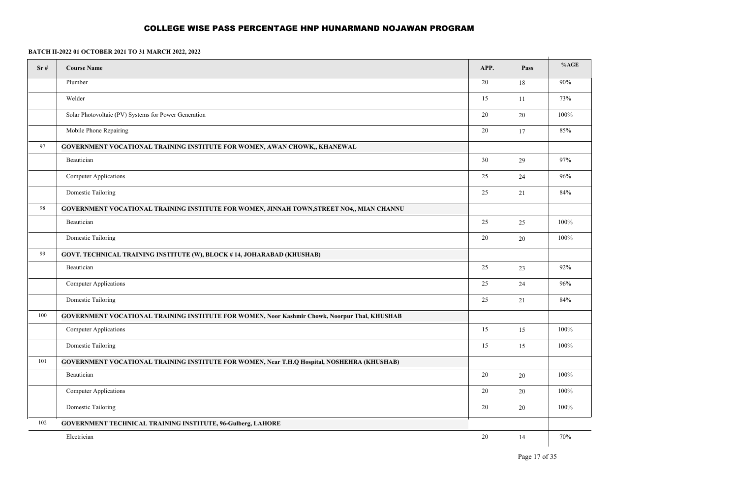| Sr# | <b>Course Name</b>                                                                                   | APP. | Pass | %AGE   |
|-----|------------------------------------------------------------------------------------------------------|------|------|--------|
|     | Plumber                                                                                              | 20   | 18   | 90%    |
|     | Welder                                                                                               | 15   | 11   | 73%    |
|     | Solar Photovoltaic (PV) Systems for Power Generation                                                 | 20   | 20   | 100%   |
|     | Mobile Phone Repairing                                                                               | 20   | 17   | 85%    |
| 97  | GOVERNMENT VOCATIONAL TRAINING INSTITUTE FOR WOMEN, AWAN CHOWK,, KHANEWAL                            |      |      |        |
|     | Beautician                                                                                           | 30   | 29   | 97%    |
|     | <b>Computer Applications</b>                                                                         | 25   | 24   | $96\%$ |
|     | Domestic Tailoring                                                                                   | 25   | 21   | 84%    |
| 98  | GOVERNMENT VOCATIONAL TRAINING INSTITUTE FOR WOMEN, JINNAH TOWN, STREET NO4,, MIAN CHANNU            |      |      |        |
|     | Beautician                                                                                           | 25   | 25   | 100%   |
|     | Domestic Tailoring                                                                                   | 20   | 20   | 100%   |
| 99  | GOVT. TECHNICAL TRAINING INSTITUTE (W), BLOCK #14, JOHARABAD (KHUSHAB)                               |      |      |        |
|     | Beautician                                                                                           | 25   | 23   | 92%    |
|     | <b>Computer Applications</b>                                                                         | 25   | 24   | $96\%$ |
|     | Domestic Tailoring                                                                                   | 25   | 21   | 84%    |
| 100 | <b>GOVERNMENT VOCATIONAL TRAINING INSTITUTE FOR WOMEN, Noor Kashmir Chowk, Noorpur Thal, KHUSHAB</b> |      |      |        |
|     | <b>Computer Applications</b>                                                                         | 15   | 15   | 100%   |
|     | Domestic Tailoring                                                                                   | 15   | 15   | 100%   |
| 101 | GOVERNMENT VOCATIONAL TRAINING INSTITUTE FOR WOMEN, Near T.H.Q Hospital, NOSHEHRA (KHUSHAB)          |      |      |        |
|     | Beautician                                                                                           | 20   | 20   | 100%   |
|     | <b>Computer Applications</b>                                                                         | 20   | 20   | 100%   |
|     | Domestic Tailoring                                                                                   | 20   | 20   | 100%   |
| 102 | <b>GOVERNMENT TECHNICAL TRAINING INSTITUTE, 96-Gulberg, LAHORE</b>                                   |      |      |        |
|     | Electrician                                                                                          | 20   | 14   | 70%    |
|     |                                                                                                      |      |      |        |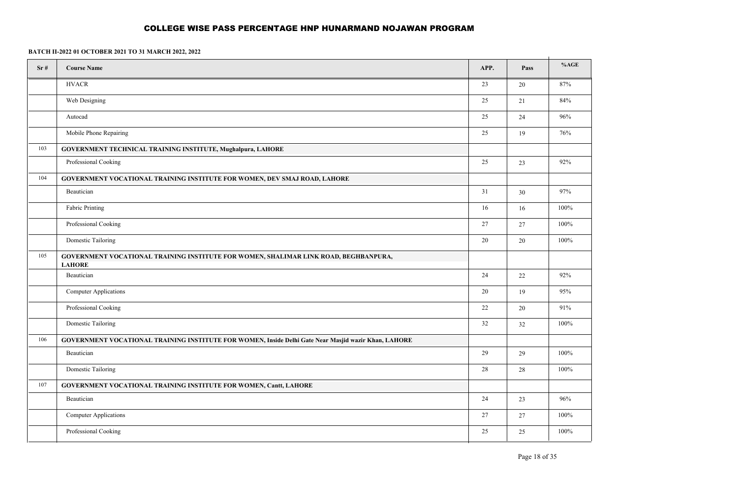| Sr# | <b>Course Name</b>                                                                                    | APP.   | Pass   | %AGE |
|-----|-------------------------------------------------------------------------------------------------------|--------|--------|------|
|     | <b>HVACR</b>                                                                                          | 23     | $20\,$ | 87%  |
|     | Web Designing                                                                                         | 25     | 21     | 84%  |
|     | Autocad                                                                                               | $25\,$ | 24     | 96%  |
|     | Mobile Phone Repairing                                                                                | 25     | 19     | 76%  |
| 103 | GOVERNMENT TECHNICAL TRAINING INSTITUTE, Mughalpura, LAHORE                                           |        |        |      |
|     | Professional Cooking                                                                                  | $25\,$ | 23     | 92%  |
| 104 | <b>GOVERNMENT VOCATIONAL TRAINING INSTITUTE FOR WOMEN, DEV SMAJ ROAD, LAHORE</b>                      |        |        |      |
|     | Beautician                                                                                            | 31     | 30     | 97%  |
|     | Fabric Printing                                                                                       | 16     | 16     | 100% |
|     | Professional Cooking                                                                                  | 27     | 27     | 100% |
|     | Domestic Tailoring                                                                                    | $20\,$ | 20     | 100% |
| 105 | GOVERNMENT VOCATIONAL TRAINING INSTITUTE FOR WOMEN, SHALIMAR LINK ROAD, BEGHBANPURA,<br><b>LAHORE</b> |        |        |      |
|     | Beautician                                                                                            | 24     | $22\,$ | 92%  |
|     | Computer Applications                                                                                 | 20     | 19     | 95%  |
|     | Professional Cooking                                                                                  | $22\,$ | 20     | 91%  |
|     | Domestic Tailoring                                                                                    | 32     | 32     | 100% |
| 106 | GOVERNMENT VOCATIONAL TRAINING INSTITUTE FOR WOMEN, Inside Delhi Gate Near Masjid wazir Khan, LAHORE  |        |        |      |
|     | Beautician                                                                                            | 29     | 29     | 100% |
|     | Domestic Tailoring                                                                                    | 28     | 28     | 100% |
| 107 | GOVERNMENT VOCATIONAL TRAINING INSTITUTE FOR WOMEN, Cantt, LAHORE                                     |        |        |      |
|     | Beautician                                                                                            | 24     | 23     | 96%  |
|     | Computer Applications                                                                                 | 27     | 27     | 100% |
|     | Professional Cooking                                                                                  | 25     | 25     | 100% |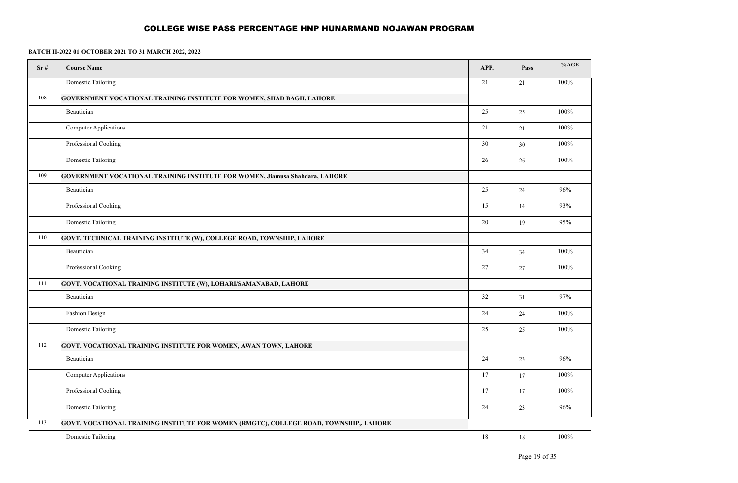| Sr# | <b>Course Name</b>                                                                     | APP. | Pass   | %AGE    |
|-----|----------------------------------------------------------------------------------------|------|--------|---------|
|     | <b>Domestic Tailoring</b>                                                              | 21   | 21     | $100\%$ |
| 108 | <b>GOVERNMENT VOCATIONAL TRAINING INSTITUTE FOR WOMEN, SHAD BAGH, LAHORE</b>           |      |        |         |
|     | Beautician                                                                             | 25   | 25     | $100\%$ |
|     | <b>Computer Applications</b>                                                           | 21   | 21     | $100\%$ |
|     | Professional Cooking                                                                   | 30   | $30\,$ | $100\%$ |
|     | Domestic Tailoring                                                                     | 26   | 26     | $100\%$ |
| 109 | <b>GOVERNMENT VOCATIONAL TRAINING INSTITUTE FOR WOMEN, Jiamusa Shahdara, LAHORE</b>    |      |        |         |
|     | Beautician                                                                             | 25   | 24     | 96%     |
|     | Professional Cooking                                                                   | 15   | 14     | 93%     |
|     | Domestic Tailoring                                                                     | 20   | 19     | $95\%$  |
| 110 | GOVT. TECHNICAL TRAINING INSTITUTE (W), COLLEGE ROAD, TOWNSHIP, LAHORE                 |      |        |         |
|     | Beautician                                                                             | 34   | 34     | 100%    |
|     | Professional Cooking                                                                   | 27   | $27\,$ | 100%    |
| 111 | GOVT. VOCATIONAL TRAINING INSTITUTE (W), LOHARI/SAMANABAD, LAHORE                      |      |        |         |
|     | Beautician                                                                             | 32   | 31     | 97%     |
|     | Fashion Design                                                                         | 24   | 24     | 100%    |
|     | Domestic Tailoring                                                                     | 25   | 25     | 100%    |
| 112 | <b>GOVT. VOCATIONAL TRAINING INSTITUTE FOR WOMEN, AWAN TOWN, LAHORE</b>                |      |        |         |
|     | Beautician                                                                             | 24   | 23     | 96%     |
|     | <b>Computer Applications</b>                                                           | 17   | 17     | 100%    |
|     | Professional Cooking                                                                   | 17   | 17     | 100%    |
|     | <b>Domestic Tailoring</b>                                                              | 24   | 23     | 96%     |
| 113 | GOVT. VOCATIONAL TRAINING INSTITUTE FOR WOMEN (RMGTC), COLLEGE ROAD, TOWNSHIP,, LAHORE |      |        |         |
|     | Domestic Tailoring                                                                     | 18   | 18     | 100%    |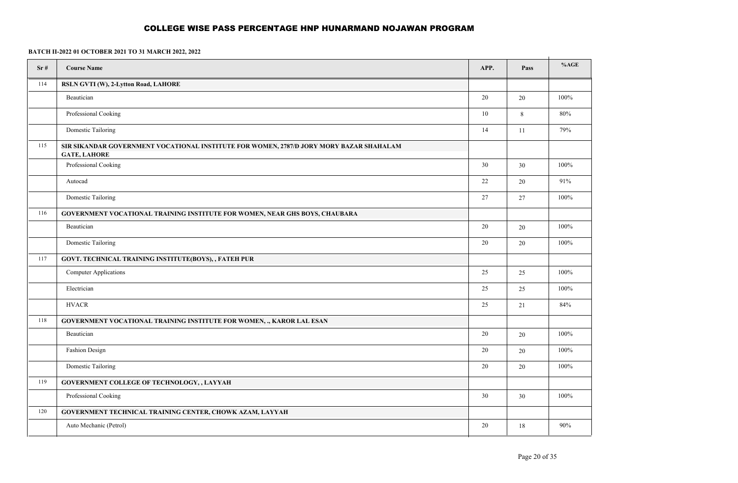| Sr#<br><b>Course Name</b><br>APP.<br>114<br>RSLN GVTI (W), 2-Lytton Road, LAHORE<br>20<br>Beautician<br>Professional Cooking<br>10<br>Domestic Tailoring<br>14<br>115<br>SIR SIKANDAR GOVERNMENT VOCATIONAL INSTITUTE FOR WOMEN, 2787/D JORY MORY BAZAR SHAHALAM<br><b>GATE, LAHORE</b><br>Professional Cooking<br>30<br>Autocad<br>22<br>Domestic Tailoring<br>27<br>116<br><b>GOVERNMENT VOCATIONAL TRAINING INSTITUTE FOR WOMEN, NEAR GHS BOYS, CHAUBARA</b><br>20<br>Beautician<br>Domestic Tailoring<br>20<br>117<br>GOVT. TECHNICAL TRAINING INSTITUTE(BOYS), , FATEH PUR<br>25<br><b>Computer Applications</b><br>Electrician<br>25<br><b>HVACR</b><br>25<br>118<br>GOVERNMENT VOCATIONAL TRAINING INSTITUTE FOR WOMEN, ., KAROR LAL ESAN | Pass<br>20<br>$\,8\,$<br>11<br>30 | %AGE<br>100%<br>$80\%$<br>79% |
|--------------------------------------------------------------------------------------------------------------------------------------------------------------------------------------------------------------------------------------------------------------------------------------------------------------------------------------------------------------------------------------------------------------------------------------------------------------------------------------------------------------------------------------------------------------------------------------------------------------------------------------------------------------------------------------------------------------------------------------------------|-----------------------------------|-------------------------------|
|                                                                                                                                                                                                                                                                                                                                                                                                                                                                                                                                                                                                                                                                                                                                                  |                                   |                               |
|                                                                                                                                                                                                                                                                                                                                                                                                                                                                                                                                                                                                                                                                                                                                                  |                                   |                               |
|                                                                                                                                                                                                                                                                                                                                                                                                                                                                                                                                                                                                                                                                                                                                                  |                                   |                               |
|                                                                                                                                                                                                                                                                                                                                                                                                                                                                                                                                                                                                                                                                                                                                                  |                                   |                               |
|                                                                                                                                                                                                                                                                                                                                                                                                                                                                                                                                                                                                                                                                                                                                                  |                                   |                               |
|                                                                                                                                                                                                                                                                                                                                                                                                                                                                                                                                                                                                                                                                                                                                                  |                                   |                               |
|                                                                                                                                                                                                                                                                                                                                                                                                                                                                                                                                                                                                                                                                                                                                                  |                                   | 100%                          |
|                                                                                                                                                                                                                                                                                                                                                                                                                                                                                                                                                                                                                                                                                                                                                  | 20                                | $91\%$                        |
|                                                                                                                                                                                                                                                                                                                                                                                                                                                                                                                                                                                                                                                                                                                                                  | 27                                | 100%                          |
|                                                                                                                                                                                                                                                                                                                                                                                                                                                                                                                                                                                                                                                                                                                                                  |                                   |                               |
|                                                                                                                                                                                                                                                                                                                                                                                                                                                                                                                                                                                                                                                                                                                                                  | 20                                | 100%                          |
|                                                                                                                                                                                                                                                                                                                                                                                                                                                                                                                                                                                                                                                                                                                                                  | 20                                | 100%                          |
|                                                                                                                                                                                                                                                                                                                                                                                                                                                                                                                                                                                                                                                                                                                                                  |                                   |                               |
|                                                                                                                                                                                                                                                                                                                                                                                                                                                                                                                                                                                                                                                                                                                                                  | 25                                | 100%                          |
|                                                                                                                                                                                                                                                                                                                                                                                                                                                                                                                                                                                                                                                                                                                                                  | 25                                | 100%                          |
|                                                                                                                                                                                                                                                                                                                                                                                                                                                                                                                                                                                                                                                                                                                                                  | 21                                | 84%                           |
|                                                                                                                                                                                                                                                                                                                                                                                                                                                                                                                                                                                                                                                                                                                                                  |                                   |                               |
| Beautician<br>20                                                                                                                                                                                                                                                                                                                                                                                                                                                                                                                                                                                                                                                                                                                                 | 20                                | 100%                          |
| Fashion Design<br>20                                                                                                                                                                                                                                                                                                                                                                                                                                                                                                                                                                                                                                                                                                                             | 20                                | 100%                          |
| Domestic Tailoring<br>20                                                                                                                                                                                                                                                                                                                                                                                                                                                                                                                                                                                                                                                                                                                         | 20                                | 100%                          |
| 119<br>GOVERNMENT COLLEGE OF TECHNOLOGY, , LAYYAH                                                                                                                                                                                                                                                                                                                                                                                                                                                                                                                                                                                                                                                                                                |                                   |                               |
| Professional Cooking<br>30                                                                                                                                                                                                                                                                                                                                                                                                                                                                                                                                                                                                                                                                                                                       | 30                                | 100%                          |
| 120<br>GOVERNMENT TECHNICAL TRAINING CENTER, CHOWK AZAM, LAYYAH                                                                                                                                                                                                                                                                                                                                                                                                                                                                                                                                                                                                                                                                                  |                                   |                               |
| Auto Mechanic (Petrol)<br>20                                                                                                                                                                                                                                                                                                                                                                                                                                                                                                                                                                                                                                                                                                                     | 18                                | 90%                           |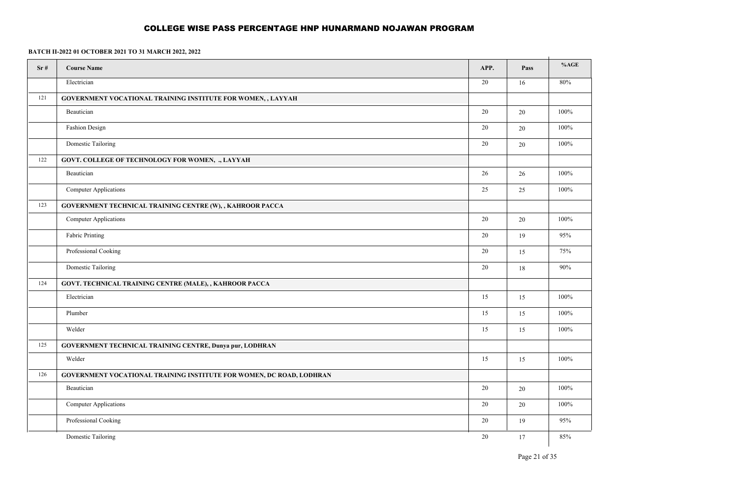| Sr# | <b>Course Name</b>                                                          | APP. | Pass   | %AGE    |
|-----|-----------------------------------------------------------------------------|------|--------|---------|
|     | Electrician                                                                 | 20   | 16     | 80%     |
| 121 | GOVERNMENT VOCATIONAL TRAINING INSTITUTE FOR WOMEN,, LAYYAH                 |      |        |         |
|     | Beautician                                                                  | 20   | 20     | 100%    |
|     | Fashion Design                                                              | 20   | $20\,$ | 100%    |
|     | Domestic Tailoring                                                          | 20   | 20     | 100%    |
| 122 | GOVT. COLLEGE OF TECHNOLOGY FOR WOMEN, ., LAYYAH                            |      |        |         |
|     | Beautician                                                                  | 26   | 26     | 100%    |
|     | Computer Applications                                                       | 25   | 25     | 100%    |
| 123 | GOVERNMENT TECHNICAL TRAINING CENTRE (W), , KAHROOR PACCA                   |      |        |         |
|     | Computer Applications                                                       | 20   | 20     | $100\%$ |
|     | Fabric Printing                                                             | 20   | 19     | 95%     |
|     | Professional Cooking                                                        | 20   | 15     | 75%     |
|     | Domestic Tailoring                                                          | 20   | 18     | 90%     |
| 124 | GOVT. TECHNICAL TRAINING CENTRE (MALE), , KAHROOR PACCA                     |      |        |         |
|     | Electrician                                                                 | 15   | 15     | 100%    |
|     | Plumber                                                                     | 15   | 15     | $100\%$ |
|     | Welder                                                                      | 15   | 15     | 100%    |
| 125 | GOVERNMENT TECHNICAL TRAINING CENTRE, Dunya pur, LODHRAN                    |      |        |         |
|     | Welder                                                                      | 15   | 15     | 100%    |
| 126 | <b>GOVERNMENT VOCATIONAL TRAINING INSTITUTE FOR WOMEN, DC ROAD, LODHRAN</b> |      |        |         |
|     | Beautician                                                                  | 20   | 20     | 100%    |
|     | Computer Applications                                                       | 20   | $20\,$ | $100\%$ |
|     | Professional Cooking                                                        | 20   | 19     | 95%     |
|     | Domestic Tailoring                                                          | 20   | 17     | 85%     |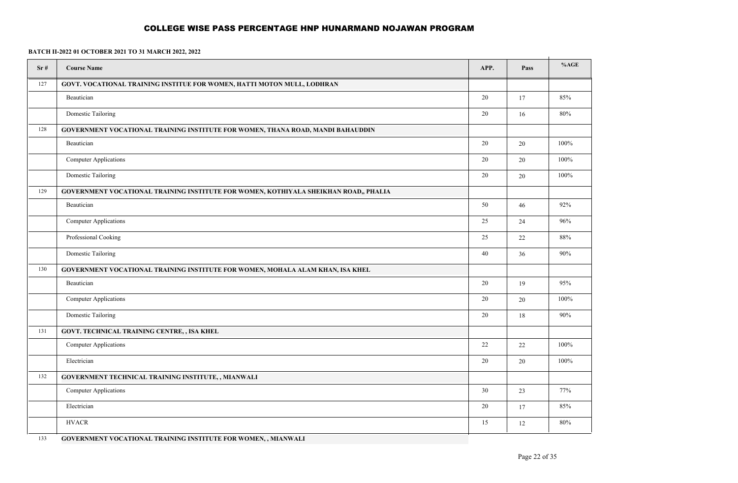**BATCH II-2022 01 OCTOBER 2021 TO 31 MARCH 2022, 2022**

| Sr# | <b>Course Name</b>                                                                                             | APP. | Pass   | %AGE    |
|-----|----------------------------------------------------------------------------------------------------------------|------|--------|---------|
| 127 | GOVT. VOCATIONAL TRAINING INSTITUE FOR WOMEN, HATTI MOTON MULL, LODHRAN                                        |      |        |         |
|     | Beautician                                                                                                     | 20   | 17     | 85%     |
|     | Domestic Tailoring                                                                                             | 20   | 16     | 80%     |
| 128 | GOVERNMENT VOCATIONAL TRAINING INSTITUTE FOR WOMEN, THANA ROAD, MANDI BAHAUDDIN                                |      |        |         |
|     | Beautician                                                                                                     | 20   | $20\,$ | $100\%$ |
|     | Computer Applications                                                                                          | 20   | $20\,$ | 100%    |
|     | Domestic Tailoring                                                                                             | 20   | 20     | $100\%$ |
| 129 | GOVERNMENT VOCATIONAL TRAINING INSTITUTE FOR WOMEN, KOTHIYALA SHEIKHAN ROAD,, PHALIA                           |      |        |         |
|     | Beautician                                                                                                     | 50   | 46     | 92%     |
|     | Computer Applications                                                                                          | 25   | 24     | 96%     |
|     | Professional Cooking                                                                                           | 25   | 22     | 88%     |
|     | Domestic Tailoring                                                                                             | 40   | 36     | 90%     |
| 130 | GOVERNMENT VOCATIONAL TRAINING INSTITUTE FOR WOMEN, MOHALA ALAM KHAN, ISA KHEL                                 |      |        |         |
|     | Beautician                                                                                                     | 20   | 19     | 95%     |
|     | Computer Applications                                                                                          | 20   | 20     | 100%    |
|     | Domestic Tailoring                                                                                             | 20   | 18     | 90%     |
| 131 | GOVT. TECHNICAL TRAINING CENTRE, , ISA KHEL                                                                    |      |        |         |
|     | <b>Computer Applications</b>                                                                                   | 22   | 22     | $100\%$ |
|     | Electrician                                                                                                    | 20   | $20\,$ | 100%    |
| 132 | GOVERNMENT TECHNICAL TRAINING INSTITUTE, , MIANWALI                                                            |      |        |         |
|     | <b>Computer Applications</b>                                                                                   | 30   | 23     | 77%     |
|     | Electrician                                                                                                    | 20   | 17     | 85%     |
|     | <b>HVACR</b>                                                                                                   | 15   | $12\,$ | 80%     |
| 122 | $0.05$ m by the state $0.000$ and $0.0000$ m $0.0000$ m $0.0000$ m $0.0000$ m $0.0000$ m $0.00000$ m $0.00000$ |      |        |         |

133 **GOVERNMENT VOCATIONAL TRAINING INSTITUTE FOR WOMEN, , MIANWALI**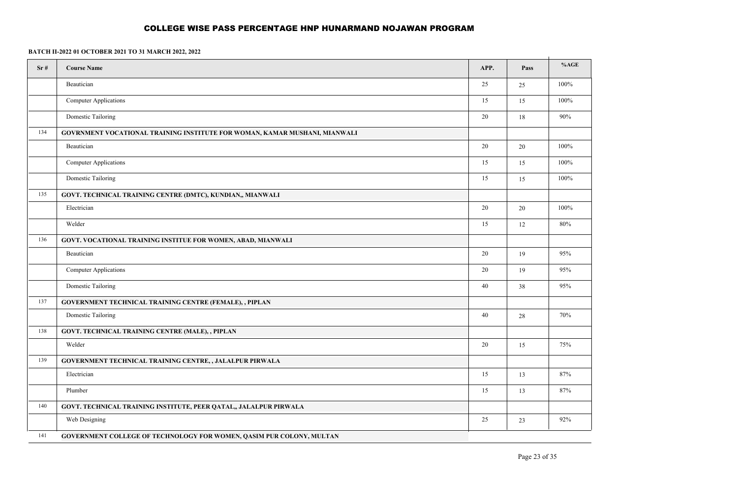| Sr# | <b>Course Name</b>                                                          | APP.   | Pass | %AGE   |
|-----|-----------------------------------------------------------------------------|--------|------|--------|
|     | Beautician                                                                  | 25     | 25   | 100%   |
|     | Computer Applications                                                       | 15     | 15   | 100%   |
|     | Domestic Tailoring                                                          | 20     | 18   | $90\%$ |
| 134 | GOVRNMENT VOCATIONAL TRAINING INSTITUTE FOR WOMAN, KAMAR MUSHANI, MIANWALI  |        |      |        |
|     | Beautician                                                                  | 20     | 20   | 100%   |
|     | <b>Computer Applications</b>                                                | 15     | 15   | 100%   |
|     | Domestic Tailoring                                                          | 15     | 15   | 100%   |
| 135 | GOVT. TECHNICAL TRAINING CENTRE (DMTC), KUNDIAN,, MIANWALI                  |        |      |        |
|     | Electrician                                                                 | 20     | 20   | 100%   |
|     | Welder                                                                      | 15     | 12   | $80\%$ |
| 136 | <b>GOVT. VOCATIONAL TRAINING INSTITUE FOR WOMEN, ABAD, MIANWALI</b>         |        |      |        |
|     | Beautician                                                                  | $20\,$ | 19   | 95%    |
|     | <b>Computer Applications</b>                                                | 20     | 19   | 95%    |
|     | Domestic Tailoring                                                          | 40     | 38   | 95%    |
| 137 | GOVERNMENT TECHNICAL TRAINING CENTRE (FEMALE), , PIPLAN                     |        |      |        |
|     | Domestic Tailoring                                                          | 40     | 28   | 70%    |
| 138 | GOVT. TECHNICAL TRAINING CENTRE (MALE), , PIPLAN                            |        |      |        |
|     | Welder                                                                      | 20     | 15   | 75%    |
| 139 | GOVERNMENT TECHNICAL TRAINING CENTRE, , JALALPUR PIRWALA                    |        |      |        |
|     | Electrician                                                                 | 15     | 13   | $87\%$ |
|     | Plumber                                                                     | 15     | 13   | 87%    |
| 140 | GOVT. TECHNICAL TRAINING INSTITUTE, PEER QATAL,, JALALPUR PIRWALA           |        |      |        |
|     | Web Designing                                                               | 25     | 23   | 92%    |
| 141 | <b>GOVERNMENT COLLEGE OF TECHNOLOGY FOR WOMEN, QASIM PUR COLONY, MULTAN</b> |        |      |        |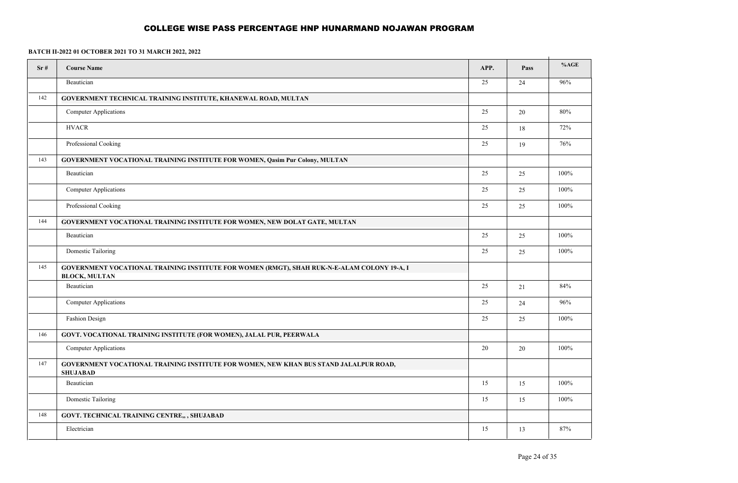| Sr# | <b>Course Name</b>                                                                                                  | APP.            | Pass | %AGE |  |  |
|-----|---------------------------------------------------------------------------------------------------------------------|-----------------|------|------|--|--|
|     | Beautician                                                                                                          | $\overline{25}$ | 24   | 96%  |  |  |
| 142 | GOVERNMENT TECHNICAL TRAINING INSTITUTE, KHANEWAL ROAD, MULTAN                                                      |                 |      |      |  |  |
|     | <b>Computer Applications</b>                                                                                        | 25              | 20   | 80%  |  |  |
|     | <b>HVACR</b>                                                                                                        | 25              | 18   | 72%  |  |  |
|     | Professional Cooking                                                                                                | 25              | 19   | 76%  |  |  |
| 143 | GOVERNMENT VOCATIONAL TRAINING INSTITUTE FOR WOMEN, Qasim Pur Colony, MULTAN                                        |                 |      |      |  |  |
|     | Beautician                                                                                                          | 25              | 25   | 100% |  |  |
|     | <b>Computer Applications</b>                                                                                        | 25              | 25   | 100% |  |  |
|     | Professional Cooking                                                                                                | 25              | 25   | 100% |  |  |
| 144 | GOVERNMENT VOCATIONAL TRAINING INSTITUTE FOR WOMEN, NEW DOLAT GATE, MULTAN                                          |                 |      |      |  |  |
|     | Beautician                                                                                                          | 25              | 25   | 100% |  |  |
|     | Domestic Tailoring                                                                                                  | 25              | 25   | 100% |  |  |
| 145 | GOVERNMENT VOCATIONAL TRAINING INSTITUTE FOR WOMEN (RMGT), SHAH RUK-N-E-ALAM COLONY 19-A, I<br><b>BLOCK, MULTAN</b> |                 |      |      |  |  |
|     | Beautician                                                                                                          | 25              | 21   | 84%  |  |  |
|     | <b>Computer Applications</b>                                                                                        | 25              | 24   | 96%  |  |  |
|     | Fashion Design                                                                                                      | 25              | 25   | 100% |  |  |
| 146 | GOVT. VOCATIONAL TRAINING INSTITUTE (FOR WOMEN), JALAL PUR, PEERWALA                                                |                 |      |      |  |  |
|     | <b>Computer Applications</b>                                                                                        | 20              | 20   | 100% |  |  |
| 147 | GOVERNMENT VOCATIONAL TRAINING INSTITUTE FOR WOMEN, NEW KHAN BUS STAND JALALPUR ROAD,<br><b>SHUJABAD</b>            |                 |      |      |  |  |
|     | Beautician                                                                                                          | 15              | 15   | 100% |  |  |
|     | Domestic Tailoring                                                                                                  | 15              | 15   | 100% |  |  |
| 148 | GOVT. TECHNICAL TRAINING CENTRE,, , SHUJABAD                                                                        |                 |      |      |  |  |
|     | Electrician                                                                                                         | 15              | 13   | 87%  |  |  |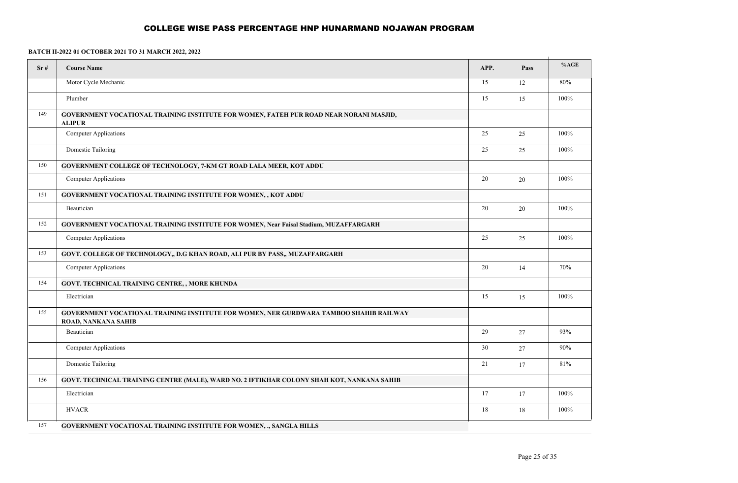| Sr# | <b>Course Name</b>                                                                                            | APP. | Pass | %AGE   |
|-----|---------------------------------------------------------------------------------------------------------------|------|------|--------|
|     | Motor Cycle Mechanic                                                                                          | 15   | 12   | $80\%$ |
|     | Plumber                                                                                                       | 15   | 15   | 100%   |
| 149 | GOVERNMENT VOCATIONAL TRAINING INSTITUTE FOR WOMEN, FATEH PUR ROAD NEAR NORANI MASJID,<br><b>ALIPUR</b>       |      |      |        |
|     | Computer Applications                                                                                         | 25   | 25   | 100%   |
|     | Domestic Tailoring                                                                                            | 25   | 25   | 100%   |
| 150 | GOVERNMENT COLLEGE OF TECHNOLOGY, 7-KM GT ROAD LALA MEER, KOT ADDU                                            |      |      |        |
|     | <b>Computer Applications</b>                                                                                  | 20   | 20   | 100%   |
| 151 | GOVERNMENT VOCATIONAL TRAINING INSTITUTE FOR WOMEN,, KOT ADDU                                                 |      |      |        |
|     | Beautician                                                                                                    | 20   | 20   | 100%   |
| 152 | GOVERNMENT VOCATIONAL TRAINING INSTITUTE FOR WOMEN, Near Faisal Stadium, MUZAFFARGARH                         |      |      |        |
|     | Computer Applications                                                                                         | 25   | 25   | 100%   |
| 153 | GOVT. COLLEGE OF TECHNOLOGY,, D.G KHAN ROAD, ALI PUR BY PASS,, MUZAFFARGARH                                   |      |      |        |
|     | Computer Applications                                                                                         | 20   | 14   | 70%    |
| 154 | GOVT. TECHNICAL TRAINING CENTRE,, MORE KHUNDA                                                                 |      |      |        |
|     | Electrician                                                                                                   | 15   | 15   | 100%   |
| 155 | GOVERNMENT VOCATIONAL TRAINING INSTITUTE FOR WOMEN, NER GURDWARA TAMBOO SHAHIB RAILWAY<br>ROAD, NANKANA SAHIB |      |      |        |
|     | Beautician                                                                                                    | 29   | 27   | 93%    |
|     | <b>Computer Applications</b>                                                                                  | 30   | 27   | 90%    |
|     | Domestic Tailoring                                                                                            | 21   | 17   | 81%    |
| 156 | GOVT. TECHNICAL TRAINING CENTRE (MALE), WARD NO. 2 IFTIKHAR COLONY SHAH KOT, NANKANA SAHIB                    |      |      |        |
|     | Electrician                                                                                                   | 17   | 17   | 100%   |
|     | <b>HVACR</b>                                                                                                  | 18   | 18   | 100%   |
| 157 | GOVERNMENT VOCATIONAL TRAINING INSTITUTE FOR WOMEN, ., SANGLA HILLS                                           |      |      |        |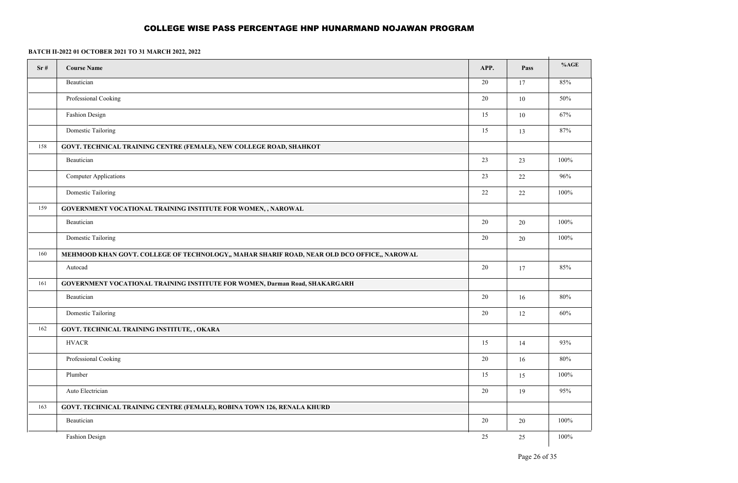| Sr# | <b>Course Name</b>                                                                          | APP.   | Pass   | %AGE    |
|-----|---------------------------------------------------------------------------------------------|--------|--------|---------|
|     | Beautician                                                                                  | 20     | 17     | 85%     |
|     | Professional Cooking                                                                        | 20     | $10\,$ | 50%     |
|     | Fashion Design                                                                              | 15     | $10\,$ | 67%     |
|     | Domestic Tailoring                                                                          | 15     | 13     | 87%     |
| 158 | <b>GOVT. TECHNICAL TRAINING CENTRE (FEMALE), NEW COLLEGE ROAD, SHAHKOT</b>                  |        |        |         |
|     | Beautician                                                                                  | 23     | 23     | 100%    |
|     | <b>Computer Applications</b>                                                                | 23     | 22     | 96%     |
|     | Domestic Tailoring                                                                          | 22     | 22     | 100%    |
| 159 | GOVERNMENT VOCATIONAL TRAINING INSTITUTE FOR WOMEN,, NAROWAL                                |        |        |         |
|     | Beautician                                                                                  | 20     | $20\,$ | $100\%$ |
|     | Domestic Tailoring                                                                          | 20     | 20     | 100%    |
| 160 | MEHMOOD KHAN GOVT. COLLEGE OF TECHNOLOGY,, MAHAR SHARIF ROAD, NEAR OLD DCO OFFICE,, NAROWAL |        |        |         |
|     | Autocad                                                                                     | 20     | 17     | 85%     |
| 161 | GOVERNMENT VOCATIONAL TRAINING INSTITUTE FOR WOMEN, Darman Road, SHAKARGARH                 |        |        |         |
|     | Beautician                                                                                  | 20     | 16     | $80\%$  |
|     | Domestic Tailoring                                                                          | 20     | 12     | 60%     |
| 162 | GOVT. TECHNICAL TRAINING INSTITUTE, , OKARA                                                 |        |        |         |
|     | <b>HVACR</b>                                                                                | 15     | 14     | 93%     |
|     | Professional Cooking                                                                        | 20     | 16     | $80\%$  |
|     | Plumber                                                                                     | 15     | 15     | 100%    |
|     | Auto Electrician                                                                            | $20\,$ | 19     | 95%     |
| 163 | GOVT. TECHNICAL TRAINING CENTRE (FEMALE), ROBINA TOWN 126, RENALA KHURD                     |        |        |         |
|     | Beautician                                                                                  | 20     | $20\,$ | $100\%$ |
|     | Fashion Design                                                                              | 25     | $25\,$ | $100\%$ |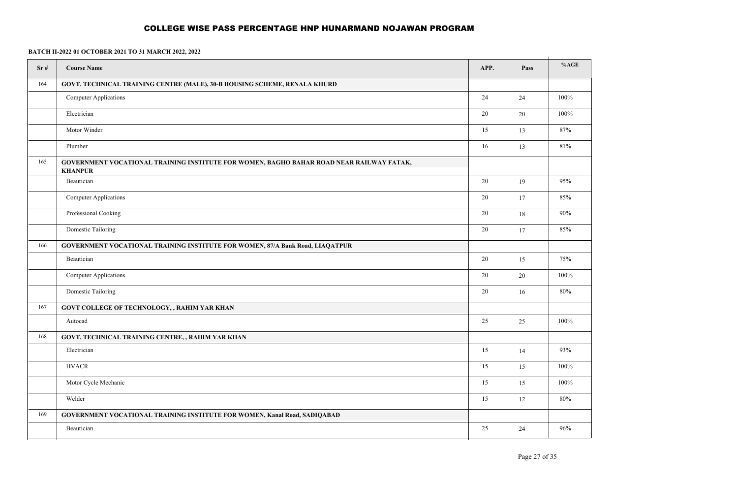| Sr# | <b>Course Name</b>                                                                                         | APP.   | Pass | %AGE |
|-----|------------------------------------------------------------------------------------------------------------|--------|------|------|
| 164 | GOVT. TECHNICAL TRAINING CENTRE (MALE), 30-B HOUSING SCHEME, RENALA KHURD                                  |        |      |      |
|     | <b>Computer Applications</b>                                                                               | 24     | 24   | 100% |
|     | Electrician                                                                                                | $20\,$ | 20   | 100% |
|     | Motor Winder                                                                                               | 15     | 13   | 87%  |
|     | Plumber                                                                                                    | 16     | 13   | 81%  |
| 165 | GOVERNMENT VOCATIONAL TRAINING INSTITUTE FOR WOMEN, BAGHO BAHAR ROAD NEAR RAILWAY FATAK,<br><b>KHANPUR</b> |        |      |      |
|     | Beautician                                                                                                 | $20\,$ | 19   | 95%  |
|     | <b>Computer Applications</b>                                                                               | $20\,$ | 17   | 85%  |
|     | Professional Cooking                                                                                       | $20\,$ | 18   | 90%  |
|     | Domestic Tailoring                                                                                         | 20     | 17   | 85%  |
| 166 | GOVERNMENT VOCATIONAL TRAINING INSTITUTE FOR WOMEN, 87/A Bank Road, LIAQATPUR                              |        |      |      |
|     | Beautician                                                                                                 | 20     | 15   | 75%  |
|     | <b>Computer Applications</b>                                                                               | 20     | 20   | 100% |
|     | Domestic Tailoring                                                                                         | 20     | 16   | 80%  |
| 167 | GOVT COLLEGE OF TECHNOLOGY, , RAHIM YAR KHAN                                                               |        |      |      |
|     | Autocad                                                                                                    | 25     | 25   | 100% |
| 168 | GOVT. TECHNICAL TRAINING CENTRE, , RAHIM YAR KHAN                                                          |        |      |      |
|     | Electrician                                                                                                | 15     | 14   | 93%  |
|     | <b>HVACR</b>                                                                                               | 15     | 15   | 100% |
|     | Motor Cycle Mechanic                                                                                       | 15     | 15   | 100% |
|     | Welder                                                                                                     | 15     | 12   | 80%  |
| 169 | <b>GOVERNMENT VOCATIONAL TRAINING INSTITUTE FOR WOMEN, Kanal Road, SADIQABAD</b>                           |        |      |      |
|     | Beautician                                                                                                 | 25     | 24   | 96%  |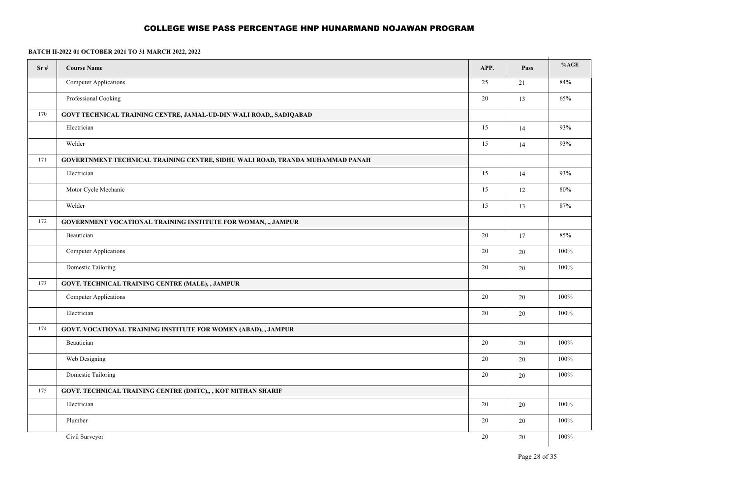| Sr# | <b>Course Name</b>                                                            | APP. | Pass   | %AGE    |
|-----|-------------------------------------------------------------------------------|------|--------|---------|
|     | <b>Computer Applications</b>                                                  | 25   | 21     | 84%     |
|     | Professional Cooking                                                          | 20   | 13     | 65%     |
| 170 | GOVT TECHNICAL TRAINING CENTRE, JAMAL-UD-DIN WALI ROAD,, SADIQABAD            |      |        |         |
|     | Electrician                                                                   | 15   | 14     | 93%     |
|     | Welder                                                                        | 15   | 14     | 93%     |
| 171 | GOVERTNMENT TECHNICAL TRAINING CENTRE, SIDHU WALI ROAD, TRANDA MUHAMMAD PANAH |      |        |         |
|     | Electrician                                                                   | 15   | 14     | 93%     |
|     | Motor Cycle Mechanic                                                          | 15   | 12     | 80%     |
|     | Welder                                                                        | 15   | 13     | 87%     |
| 172 | <b>GOVERNMENT VOCATIONAL TRAINING INSTITUTE FOR WOMAN, ., JAMPUR</b>          |      |        |         |
|     | Beautician                                                                    | 20   | $17\,$ | 85%     |
|     | <b>Computer Applications</b>                                                  | 20   | $20\,$ | $100\%$ |
|     | Domestic Tailoring                                                            | 20   | 20     | $100\%$ |
| 173 | GOVT. TECHNICAL TRAINING CENTRE (MALE), , JAMPUR                              |      |        |         |
|     | <b>Computer Applications</b>                                                  | 20   | $20\,$ | $100\%$ |
|     | Electrician                                                                   | 20   | $20\,$ | $100\%$ |
| 174 | GOVT. VOCATIONAL TRAINING INSTITUTE FOR WOMEN (ABAD), , JAMPUR                |      |        |         |
|     | Beautician                                                                    | 20   | 20     | 100%    |
|     | Web Designing                                                                 | 20   | $20\,$ | 100%    |
|     | Domestic Tailoring                                                            | 20   | 20     | 100%    |
| 175 | GOVT. TECHNICAL TRAINING CENTRE (DMTC),, , KOT MITHAN SHARIF                  |      |        |         |
|     | Electrician                                                                   | 20   | $20\,$ | 100%    |
|     | Plumber                                                                       | 20   | $20\,$ | 100%    |
|     | Civil Surveyor                                                                | 20   | $20\,$ | 100%    |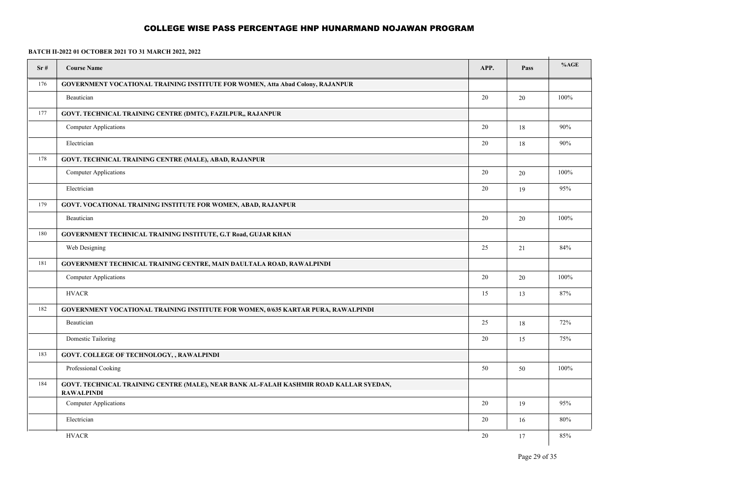| Sr# | <b>Course Name</b>                                                                                          | APP. | Pass | %AGE |
|-----|-------------------------------------------------------------------------------------------------------------|------|------|------|
| 176 | GOVERNMENT VOCATIONAL TRAINING INSTITUTE FOR WOMEN, Atta Abad Colony, RAJANPUR                              |      |      |      |
|     | Beautician                                                                                                  | 20   | 20   | 100% |
| 177 | GOVT. TECHNICAL TRAINING CENTRE (DMTC), FAZILPUR,, RAJANPUR                                                 |      |      |      |
|     | <b>Computer Applications</b>                                                                                | 20   | 18   | 90%  |
|     | Electrician                                                                                                 | 20   | 18   | 90%  |
| 178 | GOVT. TECHNICAL TRAINING CENTRE (MALE), ABAD, RAJANPUR                                                      |      |      |      |
|     | <b>Computer Applications</b>                                                                                | 20   | 20   | 100% |
|     | Electrician                                                                                                 | 20   | 19   | 95%  |
| 179 | <b>GOVT. VOCATIONAL TRAINING INSTITUTE FOR WOMEN, ABAD, RAJANPUR</b>                                        |      |      |      |
|     | Beautician                                                                                                  | 20   | 20   | 100% |
| 180 | <b>GOVERNMENT TECHNICAL TRAINING INSTITUTE, G.T Road, GUJAR KHAN</b>                                        |      |      |      |
|     | Web Designing                                                                                               | 25   | 21   | 84%  |
| 181 | GOVERNMENT TECHNICAL TRAINING CENTRE, MAIN DAULTALA ROAD, RAWALPINDI                                        |      |      |      |
|     | <b>Computer Applications</b>                                                                                | 20   | 20   | 100% |
|     | <b>HVACR</b>                                                                                                | 15   | 13   | 87%  |
| 182 | <b>GOVERNMENT VOCATIONAL TRAINING INSTITUTE FOR WOMEN, 0/635 KARTAR PURA, RAWALPINDI</b>                    |      |      |      |
|     | Beautician                                                                                                  | 25   | 18   | 72%  |
|     | Domestic Tailoring                                                                                          | 20   | 15   | 75%  |
| 183 | <b>GOVT. COLLEGE OF TECHNOLOGY, , RAWALPINDI</b>                                                            |      |      |      |
|     | Professional Cooking                                                                                        | 50   | 50   | 100% |
| 184 | GOVT. TECHNICAL TRAINING CENTRE (MALE), NEAR BANK AL-FALAH KASHMIR ROAD KALLAR SYEDAN,<br><b>RAWALPINDI</b> |      |      |      |
|     | <b>Computer Applications</b>                                                                                | 20   | 19   | 95%  |
|     | Electrician                                                                                                 | 20   | 16   | 80%  |
|     | <b>HVACR</b>                                                                                                | 20   | 17   | 85%  |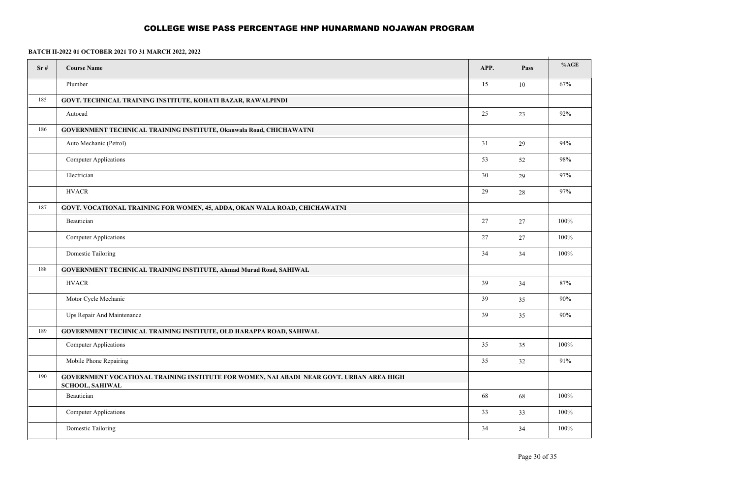| Sr# | <b>Course Name</b>                                                                                                 | APP. | Pass   | %AGE    |
|-----|--------------------------------------------------------------------------------------------------------------------|------|--------|---------|
|     | Plumber                                                                                                            | 15   | 10     | 67%     |
| 185 | GOVT. TECHNICAL TRAINING INSTITUTE, KOHATI BAZAR, RAWALPINDI                                                       |      |        |         |
|     | Autocad                                                                                                            | 25   | 23     | 92%     |
| 186 | <b>GOVERNMENT TECHNICAL TRAINING INSTITUTE, Okanwala Road, CHICHAWATNI</b>                                         |      |        |         |
|     | Auto Mechanic (Petrol)                                                                                             | 31   | 29     | 94%     |
|     | <b>Computer Applications</b>                                                                                       | 53   | 52     | 98%     |
|     | Electrician                                                                                                        | 30   | 29     | 97%     |
|     | <b>HVACR</b>                                                                                                       | 29   | $28\,$ | 97%     |
| 187 | GOVT. VOCATIONAL TRAINING FOR WOMEN, 45, ADDA, OKAN WALA ROAD, CHICHAWATNI                                         |      |        |         |
|     | Beautician                                                                                                         | 27   | $27\,$ | 100%    |
|     | <b>Computer Applications</b>                                                                                       | 27   | 27     | 100%    |
|     | Domestic Tailoring                                                                                                 | 34   | 34     | $100\%$ |
| 188 | GOVERNMENT TECHNICAL TRAINING INSTITUTE, Ahmad Murad Road, SAHIWAL                                                 |      |        |         |
|     | <b>HVACR</b>                                                                                                       | 39   | 34     | 87%     |
|     | Motor Cycle Mechanic                                                                                               | 39   | 35     | 90%     |
|     | Ups Repair And Maintenance                                                                                         | 39   | 35     | 90%     |
| 189 | GOVERNMENT TECHNICAL TRAINING INSTITUTE, OLD HARAPPA ROAD, SAHIWAL                                                 |      |        |         |
|     | <b>Computer Applications</b>                                                                                       | 35   | 35     | 100%    |
|     | Mobile Phone Repairing                                                                                             | 35   | 32     | 91%     |
| 190 | GOVERNMENT VOCATIONAL TRAINING INSTITUTE FOR WOMEN, NAI ABADI NEAR GOVT. URBAN AREA HIGH<br><b>SCHOOL, SAHIWAL</b> |      |        |         |
|     | Beautician                                                                                                         | 68   | 68     | 100%    |
|     | <b>Computer Applications</b>                                                                                       | 33   | 33     | $100\%$ |
|     | Domestic Tailoring                                                                                                 | 34   | 34     | 100%    |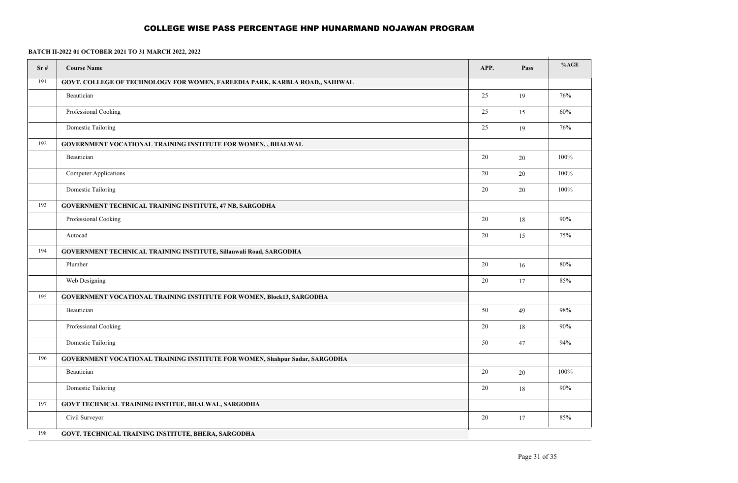| Sr# | <b>Course Name</b>                                                           | APP. | Pass | %AGE |
|-----|------------------------------------------------------------------------------|------|------|------|
| 191 | GOVT. COLLEGE OF TECHNOLOGY FOR WOMEN, FAREEDIA PARK, KARBLA ROAD,, SAHIWAL  |      |      |      |
|     | Beautician                                                                   | 25   | 19   | 76%  |
|     | Professional Cooking                                                         | 25   | 15   | 60%  |
|     | Domestic Tailoring                                                           | 25   | 19   | 76%  |
| 192 | GOVERNMENT VOCATIONAL TRAINING INSTITUTE FOR WOMEN, , BHALWAL                |      |      |      |
|     | Beautician                                                                   | 20   | 20   | 100% |
|     | <b>Computer Applications</b>                                                 | 20   | 20   | 100% |
|     | Domestic Tailoring                                                           | 20   | 20   | 100% |
| 193 | GOVERNMENT TECHNICAL TRAINING INSTITUTE, 47 NB, SARGODHA                     |      |      |      |
|     | Professional Cooking                                                         | 20   | 18   | 90%  |
|     | Autocad                                                                      | 20   | 15   | 75%  |
| 194 | <b>GOVERNMENT TECHNICAL TRAINING INSTITUTE, Sillanwali Road, SARGODHA</b>    |      |      |      |
|     | Plumber                                                                      | 20   | 16   | 80%  |
|     | Web Designing                                                                | 20   | 17   | 85%  |
| 195 | <b>GOVERNMENT VOCATIONAL TRAINING INSTITUTE FOR WOMEN, Block13, SARGODHA</b> |      |      |      |
|     | Beautician                                                                   | 50   | 49   | 98%  |
|     | Professional Cooking                                                         | 20   | 18   | 90%  |
|     | Domestic Tailoring                                                           | 50   | 47   | 94%  |
| 196 | GOVERNMENT VOCATIONAL TRAINING INSTITUTE FOR WOMEN, Shahpur Sadar, SARGODHA  |      |      |      |
|     | Beautician                                                                   | 20   | 20   | 100% |
|     | <b>Domestic Tailoring</b>                                                    | 20   | 18   | 90%  |
| 197 | GOVT TECHNICAL TRAINING INSTITUE, BHALWAL, SARGODHA                          |      |      |      |
|     | Civil Surveyor                                                               | 20   | 17   | 85%  |
| 198 | GOVT. TECHNICAL TRAINING INSTITUTE, BHERA, SARGODHA                          |      |      |      |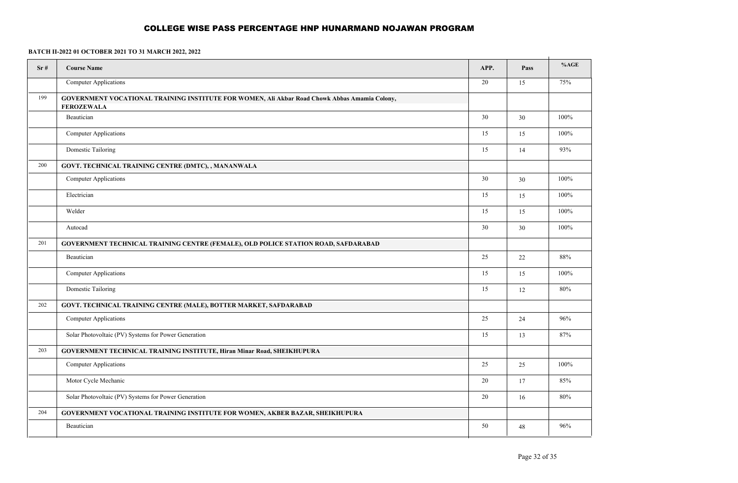| Sr# | <b>Course Name</b>                                                                                                 | APP.   | Pass | %AGE |
|-----|--------------------------------------------------------------------------------------------------------------------|--------|------|------|
|     | Computer Applications                                                                                              | $20\,$ | 15   | 75%  |
| 199 | GOVERNMENT VOCATIONAL TRAINING INSTITUTE FOR WOMEN, Ali Akbar Road Chowk Abbas Amamia Colony,<br><b>FEROZEWALA</b> |        |      |      |
|     | Beautician                                                                                                         | 30     | 30   | 100% |
|     | <b>Computer Applications</b>                                                                                       | 15     | 15   | 100% |
|     | Domestic Tailoring                                                                                                 | 15     | 14   | 93%  |
| 200 | GOVT. TECHNICAL TRAINING CENTRE (DMTC), , MANANWALA                                                                |        |      |      |
|     | Computer Applications                                                                                              | 30     | 30   | 100% |
|     | Electrician                                                                                                        | 15     | 15   | 100% |
|     | Welder                                                                                                             | 15     | 15   | 100% |
|     | Autocad                                                                                                            | 30     | 30   | 100% |
| 201 | GOVERNMENT TECHNICAL TRAINING CENTRE (FEMALE), OLD POLICE STATION ROAD, SAFDARABAD                                 |        |      |      |
|     | Beautician                                                                                                         | 25     | 22   | 88%  |
|     | <b>Computer Applications</b>                                                                                       | 15     | 15   | 100% |
|     | Domestic Tailoring                                                                                                 | 15     | 12   | 80%  |
| 202 | GOVT. TECHNICAL TRAINING CENTRE (MALE), BOTTER MARKET, SAFDARABAD                                                  |        |      |      |
|     | <b>Computer Applications</b>                                                                                       | 25     | 24   | 96%  |
|     | Solar Photovoltaic (PV) Systems for Power Generation                                                               | 15     | 13   | 87%  |
| 203 | GOVERNMENT TECHNICAL TRAINING INSTITUTE, Hiran Minar Road, SHEIKHUPURA                                             |        |      |      |
|     | <b>Computer Applications</b>                                                                                       | 25     | 25   | 100% |
|     | Motor Cycle Mechanic                                                                                               | 20     | 17   | 85%  |
|     | Solar Photovoltaic (PV) Systems for Power Generation                                                               | 20     | 16   | 80%  |
| 204 | <b>GOVERNMENT VOCATIONAL TRAINING INSTITUTE FOR WOMEN, AKBER BAZAR, SHEIKHUPURA</b>                                |        |      |      |
|     | Beautician                                                                                                         | 50     | 48   | 96%  |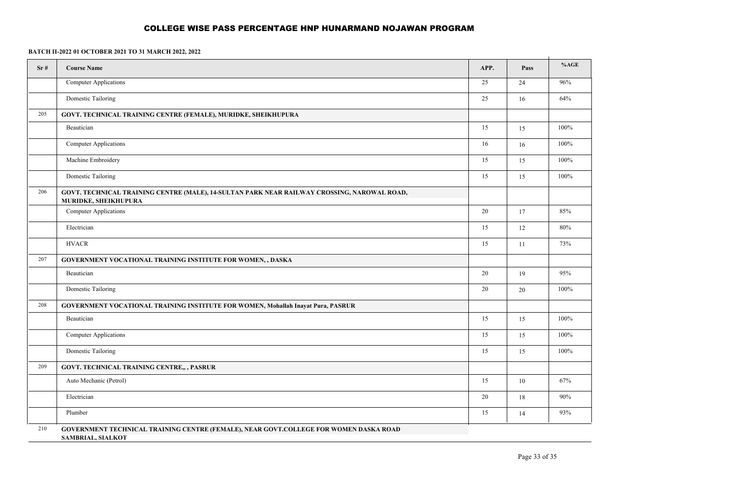| Sr# | <b>Course Name</b>                                                                                                  | APP. | Pass | %AGE   |
|-----|---------------------------------------------------------------------------------------------------------------------|------|------|--------|
|     | Computer Applications                                                                                               | 25   | 24   | $96\%$ |
|     | Domestic Tailoring                                                                                                  | 25   | 16   | 64%    |
| 205 | GOVT. TECHNICAL TRAINING CENTRE (FEMALE), MURIDKE, SHEIKHUPURA                                                      |      |      |        |
|     | Beautician                                                                                                          | 15   | 15   | 100%   |
|     | Computer Applications                                                                                               | 16   | 16   | 100%   |
|     | Machine Embroidery                                                                                                  | 15   | 15   | 100%   |
|     | <b>Domestic Tailoring</b>                                                                                           | 15   | 15   | 100%   |
| 206 | GOVT. TECHNICAL TRAINING CENTRE (MALE), 14-SULTAN PARK NEAR RAILWAY CROSSING, NAROWAL ROAD,<br>MURIDKE, SHEIKHUPURA |      |      |        |
|     | <b>Computer Applications</b>                                                                                        | 20   | 17   | 85%    |
|     | Electrician                                                                                                         | 15   | 12   | 80%    |
|     | <b>HVACR</b>                                                                                                        | 15   | 11   | 73%    |
| 207 | <b>GOVERNMENT VOCATIONAL TRAINING INSTITUTE FOR WOMEN, , DASKA</b>                                                  |      |      |        |
|     | Beautician                                                                                                          | 20   | 19   | 95%    |
|     | Domestic Tailoring                                                                                                  | 20   | 20   | 100%   |
| 208 | <b>GOVERNMENT VOCATIONAL TRAINING INSTITUTE FOR WOMEN, Mohallah Inayat Pura, PASRUR</b>                             |      |      |        |
|     | Beautician                                                                                                          | 15   | 15   | 100%   |
|     | Computer Applications                                                                                               | 15   | 15   | 100%   |
|     | <b>Domestic Tailoring</b>                                                                                           | 15   | 15   | 100%   |
| 209 | <b>GOVT. TECHNICAL TRAINING CENTRE,,, PASRUR</b>                                                                    |      |      |        |
|     | Auto Mechanic (Petrol)                                                                                              | 15   | 10   | 67%    |
|     | Electrician                                                                                                         | 20   | 18   | $90\%$ |
|     | Plumber                                                                                                             | 15   | 14   | 93%    |
| 210 | GOVERNMENT TECHNICAL TRAINING CENTRE (FEMALE), NEAR GOVT.COLLEGE FOR WOMEN DASKA ROAD<br><b>SAMBRIAL, SIALKOT</b>   |      |      |        |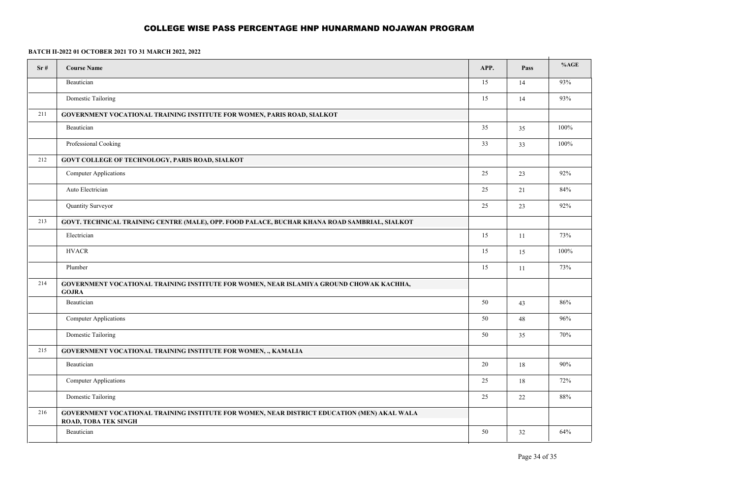| Sr# | <b>Course Name</b>                                                                                                         | APP. | Pass   | %AGE    |
|-----|----------------------------------------------------------------------------------------------------------------------------|------|--------|---------|
|     | Beautician                                                                                                                 | 15   | 14     | 93%     |
|     | Domestic Tailoring                                                                                                         | 15   | 14     | 93%     |
| 211 | <b>GOVERNMENT VOCATIONAL TRAINING INSTITUTE FOR WOMEN, PARIS ROAD, SIALKOT</b>                                             |      |        |         |
|     | Beautician                                                                                                                 | 35   | 35     | $100\%$ |
|     | Professional Cooking                                                                                                       | 33   | 33     | 100%    |
| 212 | <b>GOVT COLLEGE OF TECHNOLOGY, PARIS ROAD, SIALKOT</b>                                                                     |      |        |         |
|     | <b>Computer Applications</b>                                                                                               | 25   | 23     | $92\%$  |
|     | Auto Electrician                                                                                                           | 25   | 21     | 84%     |
|     | Quantity Surveyor                                                                                                          | 25   | 23     | 92%     |
| 213 | GOVT. TECHNICAL TRAINING CENTRE (MALE), OPP. FOOD PALACE, BUCHAR KHANA ROAD SAMBRIAL, SIALKOT                              |      |        |         |
|     | Electrician                                                                                                                | 15   | 11     | 73%     |
|     | <b>HVACR</b>                                                                                                               | 15   | 15     | 100%    |
|     | Plumber                                                                                                                    | 15   | 11     | 73%     |
| 214 | GOVERNMENT VOCATIONAL TRAINING INSTITUTE FOR WOMEN, NEAR ISLAMIYA GROUND CHOWAK KACHHA,<br><b>GOJRA</b>                    |      |        |         |
|     | Beautician                                                                                                                 | 50   | 43     | 86%     |
|     | <b>Computer Applications</b>                                                                                               | 50   | 48     | 96%     |
|     | <b>Domestic Tailoring</b>                                                                                                  | 50   | 35     | 70%     |
| 215 | <b>GOVERNMENT VOCATIONAL TRAINING INSTITUTE FOR WOMEN, ., KAMALIA</b>                                                      |      |        |         |
|     | Beautician                                                                                                                 | 20   | 18     | 90%     |
|     | Computer Applications                                                                                                      | 25   | $18\,$ | 72%     |
|     | <b>Domestic Tailoring</b>                                                                                                  | 25   | $22\,$ | $88\%$  |
| 216 | GOVERNMENT VOCATIONAL TRAINING INSTITUTE FOR WOMEN, NEAR DISTRICT EDUCATION (MEN) AKAL WALA<br><b>ROAD, TOBA TEK SINGH</b> |      |        |         |
|     | Beautician                                                                                                                 | 50   | 32     | 64%     |